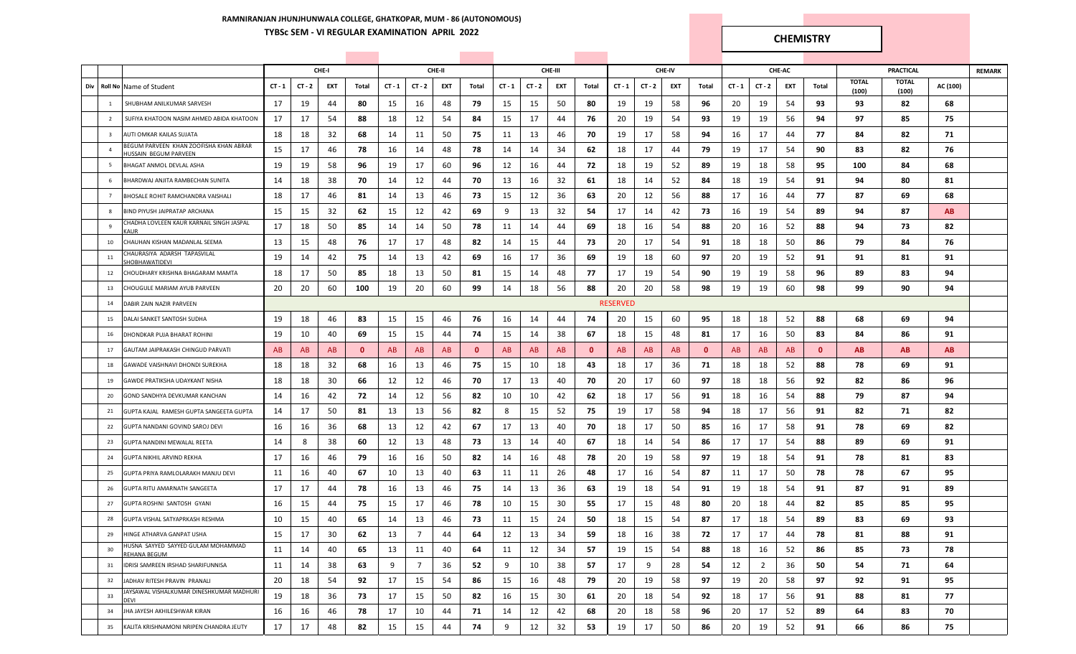## **RAMNIRANJAN JHUNJHUNWALA COLLEGE, GHATKOPAR, MUM - 86 (AUTONOMOUS) TYBSc SEM - VI REGULAR EXAMINATION APRIL 2022 CHEMISTRY**

|     |                         |                                                                        |          |          | CHE-I |              |          |                | CHE-II |              |          |          | CHE-III |              |                 |          | CHE-IV |              |          |                | CHE-AC |              |                       | <b>PRACTICAL</b>      |          | <b>REMARK</b> |
|-----|-------------------------|------------------------------------------------------------------------|----------|----------|-------|--------------|----------|----------------|--------|--------------|----------|----------|---------|--------------|-----------------|----------|--------|--------------|----------|----------------|--------|--------------|-----------------------|-----------------------|----------|---------------|
| Div |                         | Roll No Name of Student                                                | $CT - 1$ | $CT - 2$ | EXT   | Total        | $CT - 1$ | $CT - 2$       | EXT    | Total        | $CT - 1$ | $CT - 2$ | EXT     | Total        | $CT - 1$        | $CT - 2$ | EXT    | Total        | $CT - 1$ | $CT - 2$       | EXT    | Total        | <b>TOTAL</b><br>(100) | <b>TOTAL</b><br>(100) | AC (100) |               |
|     | 1                       | SHUBHAM ANILKUMAR SARVESH                                              | 17       | 19       | 44    | 80           | 15       | 16             | 48     | 79           | 15       | 15       | 50      | 80           | 19              | 19       | 58     | 96           | 20       | 19             | 54     | 93           | 93                    | 82                    | 68       |               |
|     | $\overline{2}$          | SUFIYA KHATOON NASIM AHMED ABIDA KHATOON                               | 17       | 17       | 54    | 88           | 18       | 12             | 54     | 84           | 15       | 17       | 44      | 76           | 20              | 19       | 54     | 93           | 19       | 19             | 56     | 94           | 97                    | 85                    | 75       |               |
|     | $\overline{\mathbf{3}}$ | AUTI OMKAR KAILAS SUJATA                                               | 18       | 18       | 32    | 68           | 14       | 11             | 50     | 75           | 11       | 13       | 46      | 70           | 19              | 17       | 58     | 94           | 16       | 17             | 44     | 77           | 84                    | 82                    | 71       |               |
|     | $\overline{4}$          | BEGUM PARVEEN KHAN ZOOFISHA KHAN ABRAR<br><b>IUSSAIN BEGUM PARVEEN</b> | 15       | 17       | 46    | 78           | 16       | 14             | 48     | 78           | 14       | 14       | 34      | 62           | 18              | 17       | 44     | 79           | 19       | 17             | 54     | 90           | 83                    | 82                    | 76       |               |
|     | - 5                     | BHAGAT ANMOL DEVLAL ASHA                                               | 19       | 19       | 58    | 96           | 19       | 17             | 60     | 96           | 12       | 16       | 44      | 72           | 18              | 19       | 52     | 89           | 19       | 18             | 58     | 95           | 100                   | 84                    | 68       |               |
|     | 6                       | BHARDWAJ ANJITA RAMBECHAN SUNITA                                       | 14       | 18       | 38    | 70           | 14       | 12             | 44     | 70           | 13       | 16       | 32      | 61           | 18              | 14       | 52     | 84           | 18       | 19             | 54     | 91           | 94                    | 80                    | 81       |               |
|     | $7\overline{ }$         | BHOSALE ROHIT RAMCHANDRA VAISHALI                                      | 18       | 17       | 46    | 81           | 14       | 13             | 46     | 73           | 15       | 12       | 36      | 63           | 20              | 12       | 56     | 88           | 17       | 16             | 44     | 77           | 87                    | 69                    | 68       |               |
|     | 8                       | BIND PIYUSH JAIPRATAP ARCHANA                                          | 15       | 15       | 32    | 62           | 15       | 12             | 42     | 69           | 9        | 13       | 32      | 54           | 17              | 14       | 42     | 73           | 16       | 19             | 54     | 89           | 94                    | 87                    | AB.      |               |
|     | 9                       | CHADHA LOVLEEN KAUR KARNAIL SINGH JASPAL<br><b>AUR</b>                 | 17       | 18       | 50    | 85           | 14       | 14             | 50     | 78           | 11       | 14       | 44      | 69           | 18              | 16       | 54     | 88           | 20       | 16             | 52     | 88           | 94                    | 73                    | 82       |               |
|     | 10                      | CHAUHAN KISHAN MADANLAL SEEMA                                          | 13       | 15       | 48    | 76           | 17       | 17             | 48     | 82           | 14       | 15       | 44      | 73           | 20              | 17       | 54     | 91           | 18       | 18             | 50     | 86           | 79                    | 84                    | 76       |               |
|     | 11                      | CHAURASIYA ADARSH TAPASVILAL<br><b>HOBHAWATIDEVI</b>                   | 19       | 14       | 42    | 75           | 14       | 13             | 42     | 69           | 16       | 17       | 36      | 69           | 19              | 18       | 60     | 97           | 20       | 19             | 52     | 91           | 91                    | 81                    | 91       |               |
|     | 12                      | CHOUDHARY KRISHNA BHAGARAM MAMTA                                       | 18       | 17       | 50    | 85           | 18       | 13             | 50     | 81           | 15       | 14       | 48      | 77           | 17              | 19       | 54     | 90           | 19       | 19             | 58     | 96           | 89                    | 83                    | 94       |               |
|     | 13                      | CHOUGULE MARIAM AYUB PARVEEN                                           | 20       | 20       | 60    | 100          | 19       | 20             | 60     | 99           | 14       | 18       | 56      | 88           | 20              | 20       | 58     | 98           | 19       | 19             | 60     | 98           | 99                    | 90                    | 94       |               |
|     | 14                      | DABIR ZAIN NAZIR PARVEEN                                               |          |          |       |              |          |                |        |              |          |          |         |              | <b>RESERVED</b> |          |        |              |          |                |        |              |                       |                       |          |               |
|     | 15                      | DALAI SANKET SANTOSH SUDHA                                             | 19       | 18       | 46    | 83           | 15       | 15             | 46     | 76           | 16       | 14       | 44      | 74           | 20              | 15       | 60     | 95           | 18       | 18             | 52     | 88           | 68                    | 69                    | 94       |               |
|     | 16                      | DHONDKAR PUJA BHARAT ROHINI                                            | 19       | 10       | 40    | 69           | 15       | 15             | 44     | 74           | 15       | 14       | 38      | 67           | 18              | 15       | 48     | 81           | 17       | 16             | 50     | 83           | 84                    | 86                    | 91       |               |
|     | 17                      | GAUTAM JAIPRAKASH CHINGUD PARVATI                                      | AB       | AB       | AB    | $\mathbf{0}$ | AB       | AB             | AB     | $\mathbf{0}$ | AB       | AB       | AB      | $\mathbf{0}$ | AB              | AB       | AB     | $\mathbf{0}$ | AB       | AB             | AB     | $\mathbf{0}$ | AB.                   | AB                    | AB.      |               |
|     | 18                      | GAWADE VAISHNAVI DHONDI SUREKHA                                        | 18       | 18       | 32    | 68           | 16       | 13             | 46     | 75           | 15       | 10       | 18      | 43           | 18              | 17       | 36     | 71           | 18       | 18             | 52     | 88           | 78                    | 69                    | 91       |               |
|     | 19                      | GAWDE PRATIKSHA UDAYKANT NISHA                                         | 18       | 18       | 30    | 66           | 12       | 12             | 46     | 70           | 17       | 13       | 40      | 70           | 20              | 17       | 60     | 97           | 18       | 18             | 56     | 92           | 82                    | 86                    | 96       |               |
|     | 20                      | GOND SANDHYA DEVKUMAR KANCHAN                                          | 14       | 16       | 42    | 72           | 14       | 12             | 56     | 82           | 10       | 10       | 42      | 62           | 18              | 17       | 56     | 91           | 18       | 16             | 54     | 88           | 79                    | 87                    | 94       |               |
|     | 21                      | GUPTA KAJAL RAMESH GUPTA SANGEETA GUPTA                                | 14       | 17       | 50    | 81           | 13       | 13             | 56     | 82           | 8        | 15       | 52      | 75           | 19              | 17       | 58     | 94           | 18       | 17             | 56     | 91           | 82                    | 71                    | 82       |               |
|     | 22                      | GUPTA NANDANI GOVIND SAROJ DEVI                                        | 16       | 16       | 36    | 68           | 13       | 12             | 42     | 67           | 17       | 13       | 40      | 70           | 18              | 17       | 50     | 85           | 16       | 17             | 58     | 91           | 78                    | 69                    | 82       |               |
|     | 23                      | GUPTA NANDINI MEWALAL REETA                                            | 14       | 8        | 38    | 60           | 12       | 13             | 48     | 73           | 13       | 14       | 40      | 67           | 18              | 14       | 54     | 86           | 17       | 17             | 54     | 88           | 89                    | 69                    | 91       |               |
|     | 24                      | GUPTA NIKHIL ARVIND REKHA                                              | 17       | 16       | 46    | 79           | 16       | 16             | 50     | 82           | 14       | 16       | 48      | 78           | 20              | 19       | 58     | 97           | 19       | 18             | 54     | 91           | 78                    | 81                    | 83       |               |
|     | 25                      | GUPTA PRIYA RAMLOLARAKH MANJU DEVI                                     | 11       | 16       | 40    | 67           | 10       | 13             | 40     | 63           | 11       | 11       | 26      | 48           | 17              | 16       | 54     | 87           | 11       | 17             | 50     | 78           | 78                    | 67                    | 95       |               |
|     | 26                      | GUPTA RITU AMARNATH SANGEETA                                           | 17       | 17       | 44    | 78           | 16       | 13             | 46     | 75           | 14       | 13       | 36      | 63           | 19              | 18       | 54     | 91           | 19       | 18             | 54     | 91           | 87                    | 91                    | 89       |               |
|     | 27                      | GUPTA ROSHNI SANTOSH GYANI                                             | 16       | 15       | 44    | 75           | 15       | 17             | 46     | 78           | 10       | 15       | 30      | 55           | 17              | 15       | 48     | 80           | 20       | 18             | 44     | 82           | 85                    | 85                    | 95       |               |
|     | 28                      | GUPTA VISHAL SATYAPRKASH RESHMA                                        | 10       | 15       | 40    | 65           | 14       | 13             | 46     | 73           | 11       | 15       | 24      | 50           | 18              | 15       | 54     | 87           | 17       | 18             | 54     | 89           | 83                    | 69                    | 93       |               |
|     | 29                      | HINGE ATHARVA GANPAT USHA                                              | 15       | 17       | 30    | 62           | 13       | $\overline{7}$ | 44     | 64           | 12       | 13       | 34      | 59           | 18              | 16       | 38     | 72           | 17       | 17             | 44     | 78           | 81                    | 88                    | 91       |               |
|     | 30                      | HUSNA SAYYED SAYYED GULAM MOHAMMAD<br>REHANA BEGUM                     | 11       | 14       | 40    | 65           | 13       | 11             | 40     | 64           | 11       | 12       | 34      | 57           | 19              | 15       | 54     | 88           | 18       | 16             | 52     | 86           | 85                    | 73                    | 78       |               |
|     | 31                      | IDRISI SAMREEN IRSHAD SHARIFUNNISA                                     | 11       | 14       | 38    | 63           | 9        | $\overline{7}$ | 36     | 52           | 9        | 10       | 38      | 57           | 17              | 9        | 28     | 54           | 12       | $\overline{2}$ | 36     | 50           | 54                    | 71                    | 64       |               |
|     | 32                      | JADHAV RITESH PRAVIN PRANALI                                           | 20       | 18       | 54    | 92           | 17       | 15             | 54     | 86           | 15       | 16       | 48      | 79           | 20              | 19       | 58     | 97           | 19       | 20             | 58     | 97           | 92                    | 91                    | 95       |               |
|     | 33                      | JAYSAWAL VISHALKUMAR DINESHKUMAR MADHURI<br><b>DEVI</b>                | 19       | 18       | 36    | 73           | 17       | 15             | 50     | 82           | 16       | 15       | 30      | 61           | 20              | 18       | 54     | 92           | 18       | 17             | 56     | 91           | 88                    | 81                    | 77       |               |
|     | 34                      | JHA JAYESH AKHILESHWAR KIRAN                                           | 16       | 16       | 46    | 78           | 17       | 10             | 44     | 71           | 14       | 12       | 42      | 68           | 20              | 18       | 58     | 96           | 20       | 17             | 52     | 89           | 64                    | 83                    | 70       |               |
|     | 35                      | KALITA KRISHNAMONI NRIPEN CHANDRA JEUTY                                | 17       | 17       | 48    | 82           | 15       | 15             | 44     | 74           | 9        | 12       | 32      | 53           | 19              | 17       | 50     | 86           | 20       | 19             | 52     | 91           | 66                    | 86                    | 75       |               |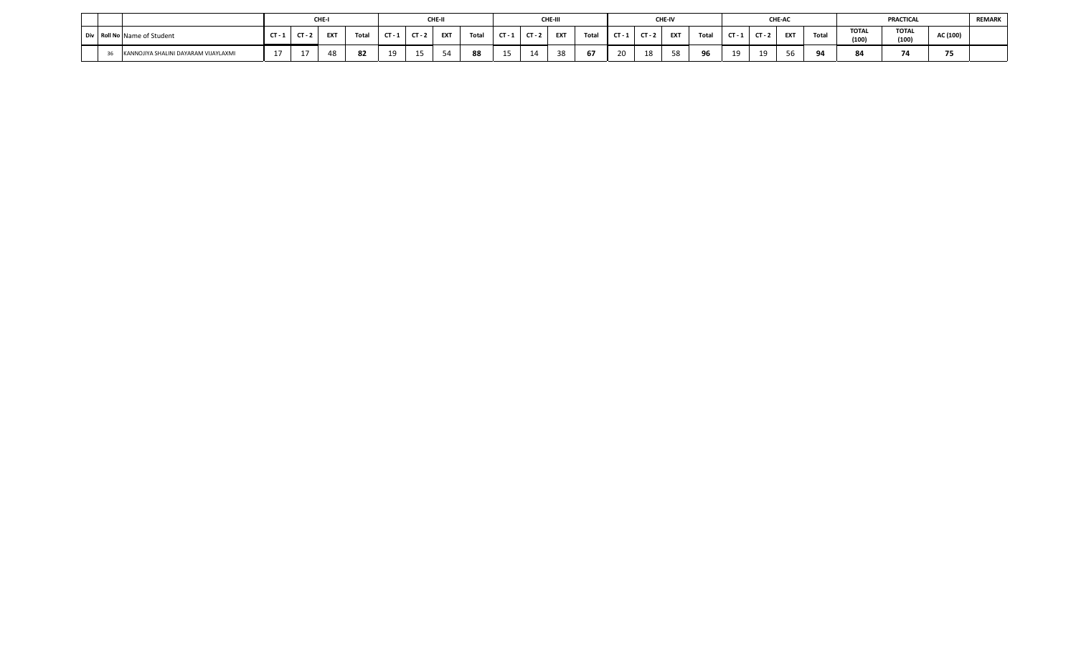|                                      |                                 | CHE.       |          |    |     | CHE-I      |       |        |        | CHE-III |                          |        |        | <b>CHE-IV</b> |        |    |        | <b>CHE-AC</b> |       |                       | PRACTICAL             |           | <b>REMARK</b> |
|--------------------------------------|---------------------------------|------------|----------|----|-----|------------|-------|--------|--------|---------|--------------------------|--------|--------|---------------|--------|----|--------|---------------|-------|-----------------------|-----------------------|-----------|---------------|
| Div Roll No Name of Student          | $CT - 7$                        | <b>EXT</b> | $T0+2$   |    | CT- | <b>EXT</b> | Total |        | $\sim$ | EXT     | Total                    | $\sim$ | $\sim$ | <b>FXT</b>    | Total  | CТ | $\sim$ | EXT           | Total | <b>TOTAL</b><br>(100) | <b>TOTAL</b><br>(100) | AC (100)  |               |
| KANNOJIYA SHALINI DAYARAM VIJAYLAXMI | $\rightarrow$<br>. . <i>. .</i> | 48         | $\Omega$ | 10 | 1 E |            |       | $\sim$ |        |         | $\overline{\phantom{a}}$ | 20     |        |               | $\sim$ | 10 |        | $ -$          |       | 84                    | -                     | --<br>, , |               |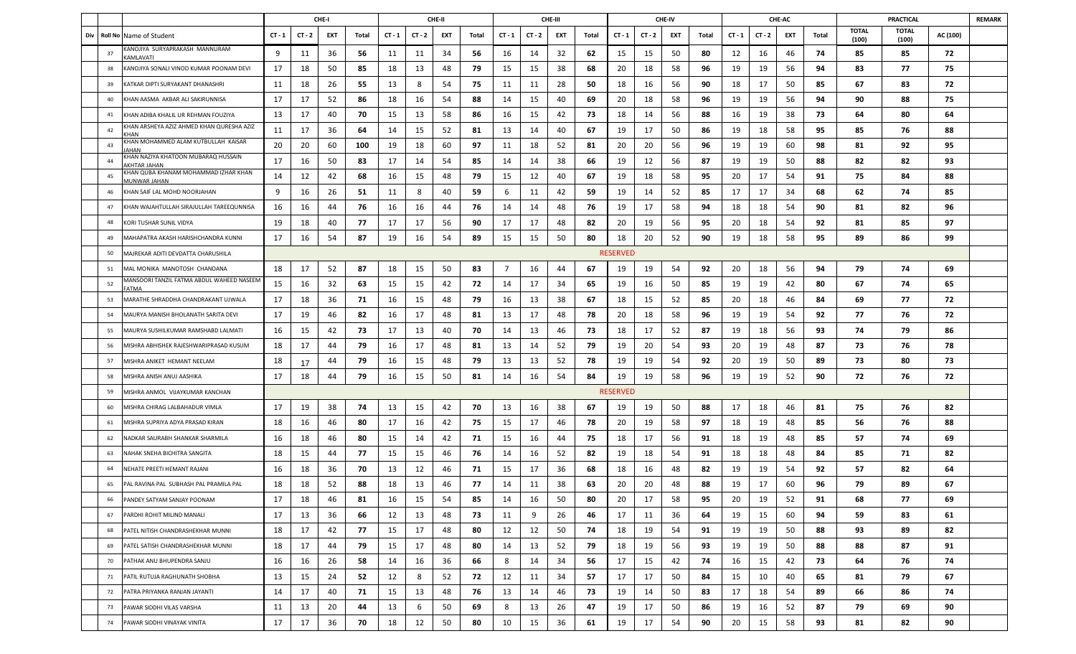|     |         |                                                          |          |          | CHE-I |       |          |          | CHE-II |       |                |          | CHE-III |       |                 |          | CHE-IV |       |        |          | CHE-AC |       |                       | <b>PRACTICAL</b>      |          | <b>REMARK</b> |
|-----|---------|----------------------------------------------------------|----------|----------|-------|-------|----------|----------|--------|-------|----------------|----------|---------|-------|-----------------|----------|--------|-------|--------|----------|--------|-------|-----------------------|-----------------------|----------|---------------|
| Div | Roll No | Name of Student                                          | $CT - 1$ | $CT - 2$ | EXT   | Total | $CT - 1$ | $CT - 2$ | EXT    | Total | $CT - 1$       | $CT - 2$ | EXT     | Total | $CT - 1$        | $CT - 2$ | EXT    | Total | CT - 1 | $CT - 2$ | EXT    | Total | <b>TOTAL</b><br>(100) | <b>TOTAL</b><br>(100) | AC (100) |               |
|     | 37      | KANOJIYA SURYAPRAKASH MANNURAM<br><b>AMLAVATI</b>        | 9        | 11       | 36    | 56    | 11       | 11       | 34     | 56    | 16             | 14       | 32      | 62    | 15              | 15       | 50     | 80    | 12     | 16       | 46     | -74   | 85                    | 85                    | 72       |               |
|     | 38      | KANOJIYA SONALI VINOD KUMAR POONAM DEVI                  | 17       | 18       | 50    | 85    | 18       | 13       | 48     | 79    | 15             | 15       | 38      | 68    | 20              | 18       | 58     | 96    | 19     | 19       | 56     | 94    | 83                    | 77                    | 75       |               |
|     | 39      | KATKAR DIPTI SURYAKANT DHANASHRI                         | 11       | 18       | 26    | 55    | 13       | 8        | 54     | 75    | 11             | 11       | 28      | 50    | 18              | 16       | 56     | 90    | 18     | 17       | 50     | 85    | 67                    | 83                    | 72       |               |
|     | 40      | KHAN AASMA AKBAR ALI SAKIRUNNISA                         | 17       | 17       | 52    | 86    | 18       | 16       | 54     | 88    | 14             | 15       | 40      | 69    | 20              | 18       | 58     | 96    | 19     | 19       | 56     | 94    | 90                    | 88                    | 75       |               |
|     | 41      | KHAN ADIBA KHALIL UR REHMAN FOUZIYA                      | 13       | 17       | 40    | 70    | 15       | 13       | 58     | 86    | 16             | 15       | 42      | 73    | 18              | 14       | 56     | 88    | 16     | 19       | 38     | 73    | 64                    | 80                    | 64       |               |
|     | 42      | KHAN ARSHEYA AZIZ AHMED KHAN QURESHA AZIZ<br><b>CHAN</b> | 11       | 17       | 36    | 64    | 14       | 15       | 52     | 81    | 13             | 14       | 40      | 67    | 19              | 17       | 50     | 86    | 19     | 18       | 58     | 95    | 85                    | 76                    | 88       |               |
|     | 43      | KHAN MOHAMMED ALAM KUTBULLAH KAISAR<br>AHAN              | 20       | 20       | 60    | 100   | 19       | 18       | 60     | 97    | 11             | 18       | 52      | 81    | 20              | 20       | 56     | 96    | 19     | 19       | 60     | 98    | 81                    | 92                    | 95       |               |
|     | 44      | KHAN NAZIYA KHATOON MUBARAQ HUSSAIN<br>KHTAR JAHAN       | 17       | 16       | 50    | 83    | 17       | 14       | 54     | 85    | 14             | 14       | 38      | 66    | 19              | 12       | 56     | 87    | 19     | 19       | 50     | 88    | 82                    | 82                    | 93       |               |
|     | 45      | KHAN QUBA KHANAM MOHAMMAD IZHAR KHAN<br>AUNWAR JAHAN     | 14       | 12       | 42    | 68    | 16       | 15       | 48     | 79    | 15             | 12       | 40      | 67    | 19              | 18       | 58     | 95    | 20     | 17       | 54     | 91    | 75                    | 84                    | 88       |               |
|     | 46      | KHAN SAIF LAL MOHD NOORJAHAN                             | 9        | 16       | 26    | 51    | 11       | 8        | 40     | 59    | 6              | 11       | 42      | 59    | 19              | 14       | 52     | 85    | 17     | 17       | 34     | 68    | 62                    | 74                    | 85       |               |
|     | 47      | KHAN WAJAHTULLAH SIRAJULLAH TAREEQUNNISA                 | 16       | 16       | 44    | 76    | 16       | 16       | 44     | 76    | 14             | 14       | 48      | 76    | 19              | 17       | 58     | 94    | 18     | 18       | 54     | 90    | 81                    | 82                    | 96       |               |
|     | 48      | KORI TUSHAR SUNIL VIDYA                                  | 19       | 18       | 40    | 77    | 17       | 17       | 56     | 90    | 17             | 17       | 48      | 82    | 20              | 19       | 56     | 95    | 20     | 18       | -54    | 92    | 81                    | 85                    | 97       |               |
|     | 49      | MAHAPATRA AKASH HARISHCHANDRA KUNNI                      | 17       | 16       | 54    | 87    | 19       | 16       | 54     | 89    | 15             | 15       | 50      | 80    | 18              | 20       | 52     | 90    | 19     | 18       | 58     | 95    | 89                    | 86                    | 99       |               |
|     | 50      | MAJREKAR ADITI DEVDATTA CHARUSHILA                       |          |          |       |       |          |          |        |       |                |          |         |       | <b>RESERVED</b> |          |        |       |        |          |        |       |                       |                       |          |               |
|     | 51      | MAL MONIKA MANOTOSH CHANDANA                             | 18       | 17       | 52    | 87    | 18       | 15       | 50     | 83    | $\overline{7}$ | 16       | 44      | 67    | 19              | 19       | 54     | 92    | 20     | 18       | 56     | 94    | 79                    | 74                    | 69       |               |
|     | 52      | MANSOORI TANZIL FATMA ABDUL WAHEED NASEEM<br>ATMA        | 15       | 16       | 32    | 63    | 15       | 15       | 42     | 72    | 14             | 17       | 34      | 65    | 19              | 16       | 50     | 85    | 19     | 19       | 42     | 80    | 67                    | 74                    | 65       |               |
|     | 53      | MARATHE SHRADDHA CHANDRAKANT UJWALA                      | 17       | 18       | 36    | 71    | 16       | 15       | 48     | 79    | 16             | 13       | 38      | 67    | 18              | 15       | 52     | 85    | 20     | 18       | 46     | 84    | 69                    | 77                    | 72       |               |
|     | 54      | MAURYA MANISH BHOLANATH SARITA DEVI                      | 17       | 19       | 46    | 82    | 16       | 17       | 48     | 81    | 13             | 17       | 48      | 78    | 20              | 18       | 58     | 96    | 19     | 19       | 54     | 92    | 77                    | 76                    | 72       |               |
|     | 55      | MAURYA SUSHILKUMAR RAMSHABD LALMATI                      | 16       | 15       | 42    | 73    | 17       | 13       | 40     | 70    | 14             | 13       | 46      | 73    | 18              | 17       | 52     | 87    | 19     | 18       | 56     | 93    | 74                    | 79                    | 86       |               |
|     | 56      | VIISHRA ABHISHEK RAJESHWARIPRASAD KUSUM                  | 18       | 17       | 44    | 79    | 16       | 17       | 48     | 81    | 13             | 14       | 52      | 79    | 19              | 20       | 54     | 93    | 20     | 19       | 48     | 87    | 73                    | 76                    | 78       |               |
|     | 57      | MISHRA ANIKET HEMANT NEELAM                              | 18       | 17       | 44    | 79    | 16       | 15       | 48     | 79    | 13             | 13       | 52      | 78    | 19              | 19       | 54     | 92    | 20     | 19       | 50     | 89    | 73                    | 80                    | 73       |               |
|     | 58      | MISHRA ANISH ANUJ AASHIKA                                | 17       | 18       | 44    | 79    | 16       | 15       | 50     | 81    | 14             | 16       | 54      | 84    | 19              | 19       | 58     | 96    | 19     | 19       | 52     | 90    | 72                    | 76                    | 72       |               |
|     | 59      | MISHRA ANMOL VIJAYKUMAR KANCHAN                          |          |          |       |       |          |          |        |       |                |          |         |       | <b>RESERVED</b> |          |        |       |        |          |        |       |                       |                       |          |               |
|     | 60      | MISHRA CHIRAG LALBAHADUR VIMLA                           | 17       | 19       | 38    | 74    | 13       | 15       | 42     | 70    | 13             | 16       | 38      | 67    | 19              | 19       | 50     | 88    | 17     | 18       | 46     | 81    | 75                    | 76                    | 82       |               |
|     | 61      | MISHRA SUPRIYA ADYA PRASAD KIRAN                         | 18       | 16       | 46    | 80    | 17       | 16       | 42     | 75    | 15             | 17       | 46      | 78    | 20              | 19       | 58     | 97    | 18     | 19       | 48     | 85    | 56                    | 76                    | 88       |               |
|     | 62      | NADKAR SAURABH SHANKAR SHARMILA                          | 16       | 18       | 46    | 80    | 15       | 14       | 42     | 71    | 15             | 16       | 44      | 75    | 18              | 17       | 56     | 91    | 18     | 19       | 48     | 85    | 57                    | 74                    | 69       |               |
|     | 63      | NAHAK SNEHA BICHITRA SANGITA                             | 18       | 15       | 44    | 77    | 15       | 15       | 46     | 76    | 14             | 16       | 52      | 82    | 19              | 18       | 54     | 91    | 18     | 18       | 48     | 84    | 85                    | 71                    | 82       |               |
|     | 64      | NEHATE PREETI HEMANT RAJANI                              | 16       | 18       | 36    | 70    | 13       | 12       | 46     | 71    | 15             | 17       | 36      | 68    | 18              | 16       | 48     | 82    | 19     | 19       | 54     | 92    | 57                    | 82                    | 64       |               |
|     | 65      | PAL RAVINA PAL SUBHASH PAL PRAMILA PAL                   | 18       | 18       | 52    | 88    | 18       | 13       | 46     | 77    | 14             | 11       | 38      | 63    | 20              | 20       | 48     | 88    | 19     | 17       | 60     | 96    | 79                    | 89                    | 67       |               |
|     | 66      | PANDEY SATYAM SANJAY POONAM                              | 17       | 18       | 46    | 81    | 16       | 15       | 54     | 85    | 14             | 16       | 50      | 80    | 20              | 17       | 58     | 95    | 20     | 19       | 52     | 91    | 68                    | 77                    | 69       |               |
|     | 67      | PARDHI ROHIT MILIND MANALI                               | 17       | 13       | 36    | 66    | 12       | 13       | 48     | 73    | 11             | 9        | 26      | 46    | 17              | 11       | 36     | 64    | 19     | 15       | 60     | 94    | 59                    | 83                    | 61       |               |
|     | 68      | PATEL NITISH CHANDRASHEKHAR MUNNI                        | 18       | 17       | 42    | 77    | 15       | 17       | 48     | 80    | 12             | 12       | 50      | 74    | 18              | 19       | 54     | 91    | 19     | 19       | 50     | 88    | 93                    | 89                    | 82       |               |
|     | 69      | PATEL SATISH CHANDRASHEKHAR MUNNI                        | 18       | 17       | 44    | 79    | 15       | 17       | 48     | 80    | 14             | 13       | 52      | 79    | 18              | 19       | 56     | 93    | 19     | 19       | 50     | 88    | 88                    | 87                    | 91       |               |
|     | 70      | PATHAK ANU BHUPENDRA SANJU                               | 16       | 16       | 26    | 58    | 14       | 16       | 36     | 66    | 8              | 14       | 34      | 56    | 17              | 15       | 42     | 74    | 16     | 15       | 42     | 73    | 64                    | 76                    | 74       |               |
|     | 71      | PATIL RUTUJA RAGHUNATH SHOBHA                            | 13       | 15       | 24    | 52    | 12       | 8        | 52     | 72    | 12             | 11       | 34      | 57    | 17              | 17       | 50     | 84    | 15     | 10       | 40     | 65    | 81                    | 79                    | 67       |               |
|     | 72      | PATRA PRIYANKA RANJAN JAYANTI                            | 14       | 17       | 40    | 71    | 15       | 13       | 48     | 76    | 13             | 14       | 46      | 73    | 19              | 14       | 50     | 83    | 17     | 18       | 54     | 89    | 66                    | 86                    | 74       |               |
|     | 73      | PAWAR SIDDHI VILAS VARSHA                                | 11       | 13       | 20    | 44    | 13       | 6        | 50     | 69    | 8              | 13       | 26      | 47    | 19              | 17       | 50     | 86    | 19     | 16       | 52     | 87    | 79                    | 69                    | 90       |               |
|     | 74      | PAWAR SIDDHI VINAYAK VINITA                              | 17       | 17       | 36    | 70    | 18       | 12       | 50     | 80    | 10             | 15       | 36      | 61    | 19              | 17       | 54     | 90    | 20     | 15       | 58     | 93    | 81                    | 82                    | 90       |               |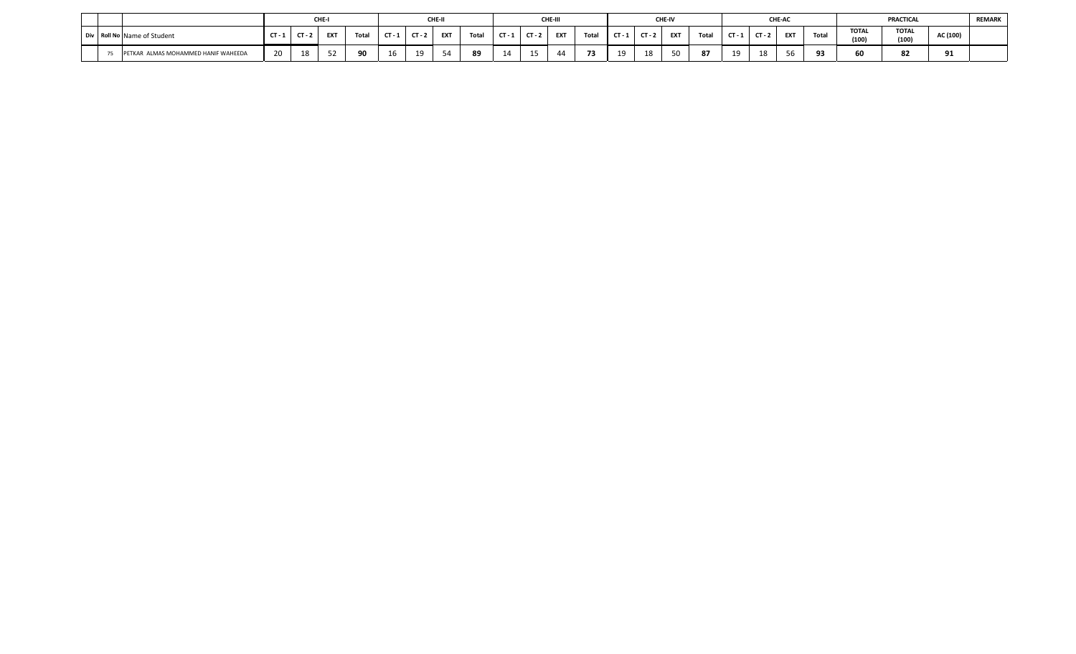|                                       |    |          | CHE.       |        |    |      | CHE-I      |            |        | CHE-III |       |        |        | <b>CHE-IV</b> |        |     |        | <b>CHE-AC</b> |       |                       | PRACTICAL             |                 | <b>REMARK</b> |
|---------------------------------------|----|----------|------------|--------|----|------|------------|------------|--------|---------|-------|--------|--------|---------------|--------|-----|--------|---------------|-------|-----------------------|-----------------------|-----------------|---------------|
| Div Roll No Name of Student           |    | $CT - 2$ | <b>EXT</b> | $T0+2$ |    | CT - | <b>EXT</b> | Total      | $\sim$ | EXT     | Total | $\sim$ | $\sim$ | <b>FXT</b>    | Total  | CT. | $\sim$ | EXT           | Total | <b>TOTAL</b><br>(100) | <b>TOTAL</b><br>(100) | AC (100)        |               |
| ---<br>R ALMAS MOHAMMED HANIF WAHEEDA | 20 | 18       |            | 0C     | 16 | 10   |            | $^{\circ}$ |        |         |       | 10     |        |               | $\sim$ | 10  |        | $ -$          |       | 60                    | c.<br>ο.              | $^{\circ}$<br>◞ |               |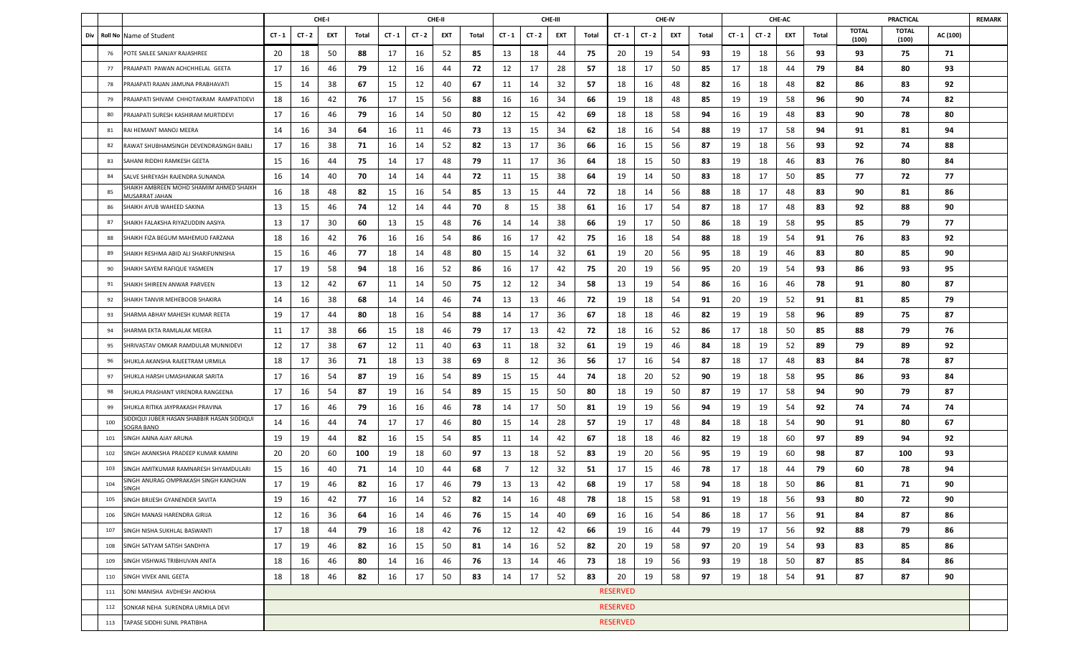|     |     |                                                                  | CHE-I<br>CHE-II<br>CHE-III |          |     |       |          |          |     |       |                |          |     |       |                 |          | CHE-IV |       |          |          | CHE-AC |       |                       | <b>PRACTICAL</b>      |          | <b>REMARK</b> |
|-----|-----|------------------------------------------------------------------|----------------------------|----------|-----|-------|----------|----------|-----|-------|----------------|----------|-----|-------|-----------------|----------|--------|-------|----------|----------|--------|-------|-----------------------|-----------------------|----------|---------------|
| Div |     | Roll No Name of Student                                          | $CT - 1$                   | $CT - 2$ | EXT | Total | $CT - 1$ | $CT - 2$ | EXT | Total | $CT - 1$       | $CT - 2$ | EXT | Total | $CT - 1$        | $CT - 2$ | EXT    | Total | $CT - 1$ | $CT - 2$ | EXT    | Total | <b>TOTAL</b><br>(100) | <b>TOTAL</b><br>(100) | AC (100) |               |
|     | 76  | POTE SAILEE SANJAY RAJASHREE                                     | 20                         | 18       | 50  | 88    | 17       | 16       | 52  | 85    | 13             | 18       | 44  | 75    | 20              | 19       | 54     | 93    | 19       | 18       | 56     | 93    | 93                    | 75                    | 71       |               |
|     | 77  | PRAJAPATI PAWAN ACHCHHELAL GEETA                                 | 17                         | 16       | 46  | 79    | 12       | 16       | 44  | 72    | 12             | 17       | 28  | 57    | 18              | 17       | 50     | 85    | 17       | 18       | 44     | 79    | 84                    | 80                    | 93       |               |
|     | 78  | PRAJAPATI RAJAN JAMUNA PRABHAVATI                                | 15                         | 14       | 38  | 67    | 15       | 12       | 40  | 67    | 11             | 14       | 32  | -57   | 18              | 16       | 48     | 82    | 16       | 18       | 48     | 82    | 86                    | 83                    | 92       |               |
|     | 79  | PRAJAPATI SHIVAM CHHOTAKRAM RAMPATIDEVI                          | 18                         | 16       | 42  | 76    | 17       | 15       | 56  | 88    | 16             | 16       | 34  | 66    | 19              | 18       | 48     | 85    | 19       | 19       | 58     | 96    | 90                    | 74                    | 82       |               |
|     | 80  | PRAJAPATI SURESH KASHIRAM MURTIDEVI                              | 17                         | 16       | 46  | 79    | 16       | 14       | 50  | 80    | 12             | 15       | 42  | 69    | 18              | 18       | 58     | 94    | 16       | 19       | 48     | 83    | 90                    | 78                    | 80       |               |
|     | 81  | RAI HEMANT MANOJ MEERA                                           | 14                         | 16       | 34  | 64    | 16       | 11       | 46  | 73    | 13             | 15       | 34  | 62    | 18              | 16       | 54     | 88    | 19       | 17       | 58     | 94    | 91                    | 81                    | 94       |               |
|     | 82  | RAWAT SHUBHAMSINGH DEVENDRASINGH BABLI                           | 17                         | 16       | 38  | 71    | 16       | 14       | 52  | 82    | 13             | 17       | 36  | 66    | 16              | 15       | 56     | 87    | 19       | 18       | 56     | 93    | 92                    | 74                    | 88       |               |
|     | 83  | SAHANI RIDDHI RAMKESH GEETA                                      | 15                         | 16       | 44  | 75    | 14       | 17       | 48  | 79    | 11             | 17       | 36  | 64    | 18              | 15       | 50     | 83    | 19       | 18       | 46     | 83    | 76                    | 80                    | 84       |               |
|     | 84  | SALVE SHREYASH RAJENDRA SUNANDA                                  | 16                         | 14       | 40  | 70    | 14       | 14       | 44  | 72    | 11             | 15       | 38  | 64    | 19              | 14       | 50     | 83    | 18       | 17       | 50     | 85    | 77                    | 72                    | 77       |               |
|     | 85  | SHAIKH AMBREEN MOHD SHAMIM AHMED SHAIKH<br><u>MUSARRAT JAHAN</u> | 16                         | 18       | 48  | 82    | 15       | 16       | 54  | 85    | 13             | 15       | 44  | 72    | 18              | 14       | 56     | 88    | 18       | 17       | 48     | 83    | 90                    | 81                    | 86       |               |
|     | 86  | SHAIKH AYUB WAHEED SAKINA                                        | 13                         | 15       | 46  | 74    | 12       | 14       | 44  | 70    | 8              | 15       | 38  | 61    | 16              | 17       | 54     | 87    | 18       | 17       | 48     | 83    | 92                    | 88                    | 90       |               |
|     | 87  | SHAIKH FALAKSHA RIYAZUDDIN AASIYA                                | 13                         | 17       | 30  | 60    | 13       | 15       | 48  | 76    | 14             | 14       | 38  | 66    | 19              | 17       | 50     | 86    | 18       | 19       | 58     | 95    | 85                    | 79                    | 77       |               |
|     | 88  | SHAIKH FIZA BEGUM MAHEMUD FARZANA                                | 18                         | 16       | 42  | 76    | 16       | 16       | 54  | 86    | 16             | 17       | 42  | 75    | 16              | 18       | 54     | 88    | 18       | 19       | 54     | 91    | 76                    | 83                    | 92       |               |
|     | 89  | SHAIKH RESHMA ABID ALI SHARIFUNNISHA                             | 15                         | 16       | 46  | 77    | 18       | 14       | 48  | 80    | 15             | 14       | 32  | 61    | 19              | 20       | 56     | 95    | 18       | 19       | 46     | 83    | 80                    | 85                    | 90       |               |
|     | 90  | SHAIKH SAYEM RAFIQUE YASMEEN                                     | 17                         | 19       | 58  | 94    | 18       | 16       | 52  | 86    | 16             | 17       | 42  | 75    | 20              | 19       | 56     | 95    | 20       | 19       | 54     | 93    | 86                    | 93                    | 95       |               |
|     | 91  | SHAIKH SHIREEN ANWAR PARVEEN                                     | 13                         | 12       | 42  | 67    | 11       | 14       | 50  | 75    | 12             | 12       | 34  | 58    | 13              | 19       | 54     | 86    | 16       | 16       | 46     | 78    | 91                    | 80                    | 87       |               |
|     | 92  | SHAIKH TANVIR MEHEBOOB SHAKIRA                                   | 14                         | 16       | 38  | 68    | 14       | 14       | 46  | 74    | 13             | 13       | 46  | 72    | 19              | 18       | 54     | 91    | 20       | 19       | 52     | 91    | 81                    | 85                    | 79       |               |
|     | 93  | SHARMA ABHAY MAHESH KUMAR REETA                                  | 19                         | 17       | 44  | 80    | 18       | 16       | 54  | 88    | 14             | 17       | 36  | 67    | 18              | 18       | 46     | 82    | 19       | 19       | 58     | 96    | 89                    | 75                    | 87       |               |
|     | 94  | SHARMA EKTA RAMLALAK MEERA                                       | 11                         | 17       | 38  | 66    | 15       | 18       | 46  | 79    | 17             | 13       | 42  | 72    | 18              | 16       | 52     | 86    | 17       | 18       | 50     | 85    | 88                    | 79                    | 76       |               |
|     | 95  | SHRIVASTAV OMKAR RAMDULAR MUNNIDEVI                              | 12                         | 17       | 38  | 67    | 12       | 11       | 40  | 63    | 11             | 18       | 32  | 61    | 19              | 19       | 46     | 84    | 18       | 19       | 52     | 89    | 79                    | 89                    | 92       |               |
|     | 96  | SHUKLA AKANSHA RAJEETRAM URMILA                                  | 18                         | 17       | 36  | 71    | 18       | 13       | 38  | 69    | 8              | 12       | 36  | 56    | 17              | 16       | 54     | 87    | 18       | 17       | 48     | 83    | 84                    | 78                    | 87       |               |
|     | 97  | SHUKLA HARSH UMASHANKAR SARITA                                   | 17                         | 16       | 54  | 87    | 19       | 16       | 54  | 89    | 15             | 15       | 44  | 74    | 18              | 20       | 52     | 90    | 19       | 18       | 58     | 95    | 86                    | 93                    | 84       |               |
|     | 98  | SHUKLA PRASHANT VIRENDRA RANGEENA                                | 17                         | 16       | 54  | 87    | 19       | 16       | 54  | 89    | 15             | 15       | 50  | 80    | 18              | 19       | 50     | 87    | 19       | 17       | 58     | 94    | 90                    | 79                    | 87       |               |
|     | 99  | SHUKLA RITIKA JAYPRAKASH PRAVINA                                 | 17                         | 16       | 46  | 79    | 16       | 16       | 46  | 78    | 14             | 17       | 50  | 81    | 19              | 19       | 56     | 94    | 19       | 19       | 54     | 92    | 74                    | 74                    | 74       |               |
|     | 100 | SIDDIQUI JUBER HASAN SHABBIR HASAN SIDDIQUI<br><b>SOGRA BANO</b> | 14                         | 16       | 44  | 74    | 17       | 17       | 46  | 80    | 15             | 14       | 28  | 57    | 19              | 17       | 48     | 84    | 18       | 18       | 54     | 90    | 91                    | 80                    | 67       |               |
|     | 101 | SINGH AAINA AJAY ARUNA                                           | 19                         | 19       | 44  | 82    | 16       | 15       | 54  | 85    | 11             | 14       | 42  | 67    | 18              | 18       | 46     | 82    | 19       | 18       | 60     | 97    | 89                    | 94                    | 92       |               |
|     | 102 | SINGH AKANKSHA PRADEEP KUMAR KAMINI                              | 20                         | 20       | 60  | 100   | 19       | 18       | 60  | 97    | 13             | 18       | 52  | 83    | 19              | 20       | 56     | 95    | 19       | 19       | 60     | 98    | 87                    | 100                   | 93       |               |
|     | 103 | SINGH AMITKUMAR RAMNARESH SHYAMDULARI                            | 15                         | 16       | 40  | 71    | 14       | 10       | 44  | 68    | $\overline{7}$ | 12       | 32  | 51    | 17              | 15       | 46     | 78    | 17       | 18       | 44     | 79    | 60                    | 78                    | 94       |               |
|     | 104 | SINGH ANURAG OMPRAKASH SINGH KANCHAN<br>SINGH                    | 17                         | 19       | 46  | 82    | 16       | 17       | 46  | 79    | 13             | 13       | 42  | 68    | 19              | 17       | 58     | 94    | 18       | 18       | 50     | 86    | 81                    | 71                    | 90       |               |
|     | 105 | SINGH BRIJESH GYANENDER SAVITA                                   | 19                         | 16       | 42  | 77    | 16       | 14       | 52  | 82    | 14             | 16       | 48  | 78    | 18              | 15       | 58     | 91    | 19       | 18       | 56     | 93    | 80                    | 72                    | 90       |               |
|     | 106 | SINGH MANASI HARENDRA GIRIJA                                     | 12                         | 16       | 36  | 64    | 16       | 14       | 46  | 76    | 15             | 14       | 40  | 69    | 16              | 16       | 54     | 86    | 18       | 17       | 56     | 91    | 84                    | 87                    | 86       |               |
|     | 107 | SINGH NISHA SUKHLAL BASWANTI                                     | 17                         | 18       | 44  | 79    | 16       | 18       | 42  | 76    | 12             | 12       | 42  | 66    | 19              | 16       | 44     | 79    | 19       | 17       | 56     | 92    | 88                    | 79                    | 86       |               |
|     | 108 | SINGH SATYAM SATISH SANDHYA                                      | 17                         | 19       | 46  | 82    | 16       | 15       | 50  | 81    | 14             | 16       | 52  | 82    | 20              | 19       | 58     | 97    | 20       | 19       | 54     | 93    | 83                    | 85                    | 86       |               |
|     | 109 | SINGH VISHWAS TRIBHUVAN ANITA                                    | 18                         | 16       | 46  | 80    | 14       | 16       | 46  | 76    | 13             | 14       | 46  | 73    | 18              | 19       | 56     | 93    | 19       | 18       | 50     | 87    | 85                    | 84                    | 86       |               |
|     | 110 | SINGH VIVEK ANIL GEETA                                           | 18                         | 18       | 46  | 82    | 16       | 17       | 50  | 83    | 14             | 17       | 52  | 83    | 20              | 19       | 58     | 97    | 19       | 18       | 54     | 91    | 87                    | 87                    | 90       |               |
|     | 111 | SONI MANISHA AVDHESH ANOKHA                                      |                            |          |     |       |          |          |     |       |                |          |     |       | <b>RESERVED</b> |          |        |       |          |          |        |       |                       |                       |          |               |
|     | 112 | SONKAR NEHA SURENDRA URMILA DEVI                                 |                            |          |     |       |          |          |     |       |                |          |     |       | <b>RESERVED</b> |          |        |       |          |          |        |       |                       |                       |          |               |
|     | 113 | TAPASE SIDDHI SUNIL PRATIBHA                                     |                            |          |     |       |          |          |     |       |                |          |     |       | <b>RESERVED</b> |          |        |       |          |          |        |       |                       |                       |          |               |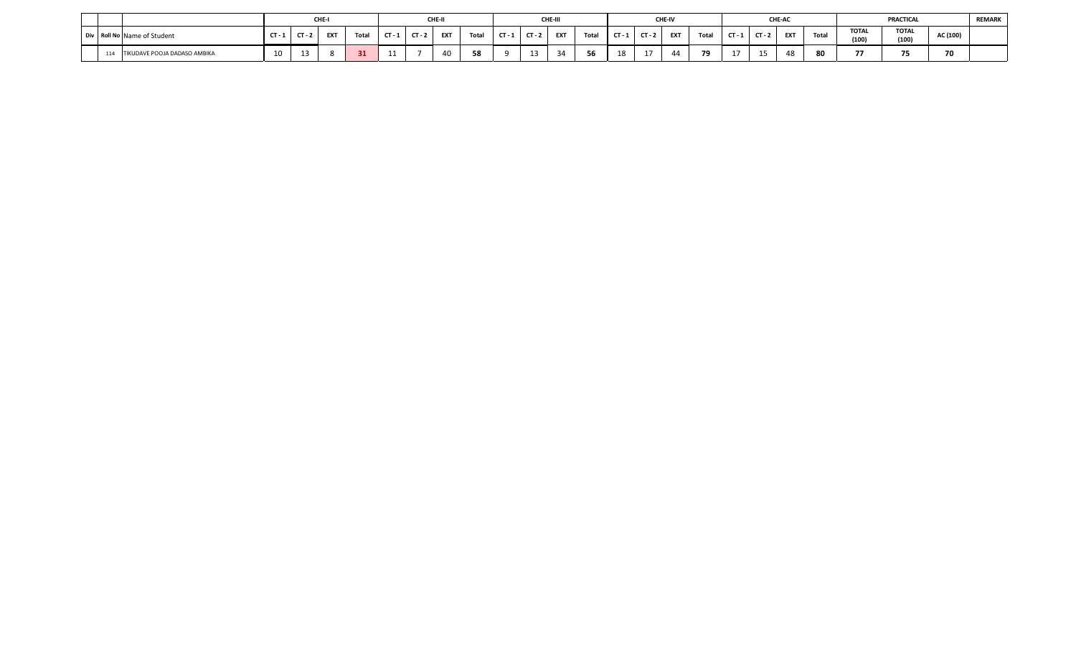|     |                              |                       |             | CHE-I      |        |     |        | CHE-I      |       |        | CHE-III    |       |     |        | <b>CHE-IV</b> |              |        |          | CHE-AC |       |                          | PRACTICAL             |                                 | <b>REMARK</b> |
|-----|------------------------------|-----------------------|-------------|------------|--------|-----|--------|------------|-------|--------|------------|-------|-----|--------|---------------|--------------|--------|----------|--------|-------|--------------------------|-----------------------|---------------------------------|---------------|
|     | Div Roll No Name of Student  |                       | $CT - 2$    | <b>EXT</b> | $T0+0$ |     | $\sim$ | <b>EXT</b> | Total | $\sim$ | <b>EXT</b> | Total | CT. | $\tau$ | <b>EXT</b>    | <b>Total</b> | $CT-7$ | $CT - 2$ | EXT    | Total | <b>TOTAL</b><br>(100)    | <b>TOTAL</b><br>(100) | AC (100)                        |               |
| 114 | TIKUDAVE POOJA DADASO AMBIKA | 10 <sup>1</sup><br>τv | $\sim$<br>∸ |            |        | . . |        |            |       | --     |            | $-$   | 18  | ۰      |               | 79           |        |          | 48     | 80    | $\overline{\phantom{a}}$ | . .                   | $\overline{\phantom{a}}$<br>7 U |               |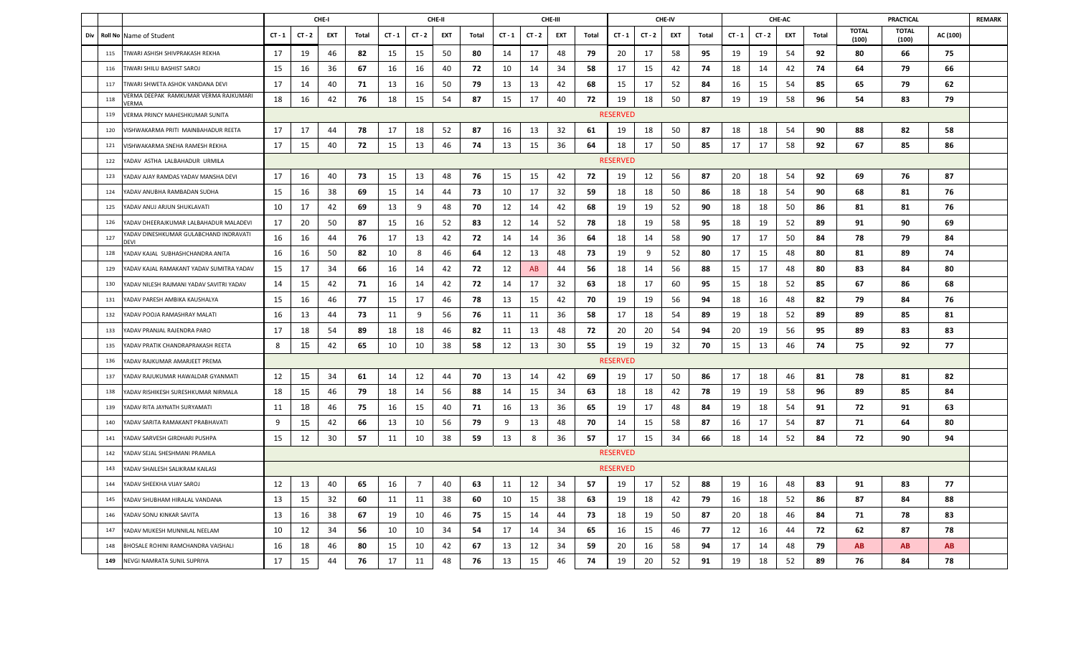|     |                |                                                |          |          | CHE-I |       |          |                | CHE-II     |       |          |          | CHE-III    |       |                 |          | CHE-IV |              |          |          | CHE-AC     |       |                       | <b>PRACTICAL</b>      |          | <b>REMARK</b> |
|-----|----------------|------------------------------------------------|----------|----------|-------|-------|----------|----------------|------------|-------|----------|----------|------------|-------|-----------------|----------|--------|--------------|----------|----------|------------|-------|-----------------------|-----------------------|----------|---------------|
| Div | <b>Roll No</b> | Name of Student                                | $CT - 1$ | $CT - 2$ | EXT   | Total | $CT - 1$ | $CT - 2$       | <b>EXT</b> | Total | $CT - 1$ | $CT - 2$ | <b>EXT</b> | Total | $CT - 1$        | $CT - 2$ | EXT    | <b>Total</b> | $CT - 1$ | $CT - 2$ | <b>EXT</b> | Total | <b>TOTAL</b><br>(100) | <b>TOTAL</b><br>(100) | AC (100) |               |
|     | 115            | TIWARI ASHISH SHIVPRAKASH REKHA                | 17       | 19       | 46    | 82    | 15       | 15             | 50         | 80    | 14       | 17       | 48         | 79    | 20              | 17       | 58     | 95           | 19       | 19       | 54         | 92    | 80                    | 66                    | 75       |               |
|     | 116            | TIWARI SHILU BASHIST SAROJ                     | 15       | 16       | 36    | 67    | 16       | 16             | 40         | 72    | 10       | 14       | 34         | 58    | 17              | 15       | 42     | 74           | 18       | 14       | 42         | 74    | 64                    | 79                    | 66       |               |
|     | 117            | TIWARI SHWETA ASHOK VANDANA DEVI               | 17       | 14       | 40    | 71    | 13       | 16             | 50         | 79    | 13       | 13       | 42         | 68    | 15              | 17       | 52     | 84           | 16       | 15       | -54        | 85    | 65                    | 79                    | 62       |               |
|     | 118            | VERMA DEEPAK RAMKUMAR VERMA RAJKUMARI<br>VERMA | 18       | 16       | 42    | 76    | 18       | 15             | 54         | 87    | 15       | 17       | 40         | 72    | 19              | 18       | 50     | 87           | 19       | 19       | 58         | 96    | 54                    | 83                    | 79       |               |
|     | 119            | VERMA PRINCY MAHESHKUMAR SUNITA                |          |          |       |       |          |                |            |       |          |          |            |       | <b>RESERVED</b> |          |        |              |          |          |            |       |                       |                       |          |               |
|     | 120            | VISHWAKARMA PRITI MAINBAHADUR REETA            | 17       | 17       | 44    | 78    | 17       | 18             | 52         | 87    | 16       | 13       | 32         | 61    | 19              | 18       | 50     | 87           | 18       | 18       | 54         | 90    | 88                    | 82                    | 58       |               |
|     | 121            | VISHWAKARMA SNEHA RAMESH REKHA                 | 17       | 15       | 40    | 72    | 15       | 13             | 46         | 74    | 13       | 15       | 36         | 64    | 18              | 17       | 50     | 85           | 17       | 17       | 58         | 92    | 67                    | 85                    | 86       |               |
|     | 122            | YADAV ASTHA LALBAHADUR URMILA                  |          |          |       |       |          |                |            |       |          |          |            |       | <b>RESERVED</b> |          |        |              |          |          |            |       |                       |                       |          |               |
|     | 123            | YADAV AJAY RAMDAS YADAV MANSHA DEVI            | 17       | 16       | 40    | 73    | 15       | 13             | 48         | 76    | 15       | 15       | 42         | 72    | 19              | 12       | 56     | 87           | 20       | 18       | 54         | 92    | 69                    | 76                    | 87       |               |
|     | 124            | YADAV ANUBHA RAMBADAN SUDHA                    | 15       | 16       | 38    | 69    | 15       | 14             | 44         | 73    | 10       | 17       | 32         | 59    | 18              | 18       | 50     | 86           | 18       | 18       | 54         | 90    | 68                    | 81                    | 76       |               |
|     | 125            | YADAV ANUJ ARJUN SHUKLAVATI                    | 10       | 17       | 42    | 69    | 13       | 9              | 48         | 70    | 12       | 14       | 42         | 68    | 19              | 19       | 52     | 90           | 18       | 18       | 50         | 86    | 81                    | 81                    | 76       |               |
|     | 126            | YADAV DHEERAJKUMAR LALBAHADUR MALADEVI         | 17       | 20       | 50    | 87    | 15       | 16             | 52         | 83    | 12       | 14       | 52         | 78    | 18              | 19       | 58     | 95           | 18       | 19       | 52         | 89    | 91                    | 90                    | 69       |               |
|     | 127            | ADAV DINESHKUMAR GULABCHAND INDRAVATI          | 16       | 16       | 44    | 76    | 17       | 13             | 42         | 72    | 14       | 14       | 36         | 64    | 18              | 14       | 58     | 90           | 17       | 17       | 50         | 84    | 78                    | 79                    | 84       |               |
|     | 128            | YADAV KAJAL SUBHASHCHANDRA ANITA               | 16       | 16       | 50    | 82    | 10       | 8              | 46         | 64    | 12       | 13       | 48         | 73    | 19              | 9        | 52     | 80           | 17       | 15       | 48         | 80    | 81                    | 89                    | 74       |               |
|     | 129            | YADAV KAJAL RAMAKANT YADAV SUMITRA YADAV       | 15       | 17       | 34    | 66    | 16       | 14             | 42         | 72    | 12       | AB       | 44         | 56    | 18              | 14       | 56     | 88           | 15       | 17       | 48         | 80    | 83                    | 84                    | 80       |               |
|     | 130            | YADAV NILESH RAJMANI YADAV SAVITRI YADAV       | 14       | 15       | 42    | 71    | 16       | 14             | 42         | 72    | 14       | 17       | 32         | 63    | 18              | 17       | 60     | 95           | 15       | 18       | 52         | 85    | 67                    | 86                    | 68       |               |
|     | 131            | YADAV PARESH AMBIKA KAUSHALYA                  | 15       | 16       | 46    | 77    | 15       | 17             | 46         | 78    | 13       | 15       | 42         | 70    | 19              | 19       | 56     | 94           | 18       | 16       | 48         | 82    | 79                    | 84                    | 76       |               |
|     | 132            | YADAV POOJA RAMASHRAY MALATI                   | 16       | 13       | 44    | 73    | 11       | 9              | 56         | 76    | 11       | 11       | 36         | 58    | 17              | 18       | 54     | 89           | 19       | 18       | 52         | 89    | 89                    | 85                    | 81       |               |
|     | 133            | YADAV PRANJAL RAJENDRA PARO                    | 17       | 18       | 54    | 89    | 18       | 18             | 46         | 82    | 11       | 13       | 48         | 72    | 20              | 20       | 54     | 94           | 20       | 19       | 56         | 95    | 89                    | 83                    | 83       |               |
|     | 135            | YADAV PRATIK CHANDRAPRAKASH REETA              | 8        | 15       | 42    | 65    | 10       | 10             | 38         | 58    | 12       | 13       | 30         | 55    | 19              | 19       | 32     | 70           | 15       | 13       | 46         | 74    | 75                    | 92                    | 77       |               |
|     | 136            | YADAV RAJKUMAR AMARJEET PREMA                  |          |          |       |       |          |                |            |       |          |          |            |       | <b>RESERVED</b> |          |        |              |          |          |            |       |                       |                       |          |               |
|     | 137            | YADAV RAJUKUMAR HAWALDAR GYANMATI              | 12       | 15       | 34    | 61    | 14       | 12             | 44         | 70    | 13       | 14       | 42         | 69    | 19              | 17       | 50     | 86           | 17       | 18       | 46         | 81    | 78                    | 81                    | 82       |               |
|     | 138            | YADAV RISHIKESH SURESHKUMAR NIRMALA            | 18       | 15       | 46    | 79    | 18       | 14             | 56         | 88    | 14       | 15       | 34         | 63    | 18              | 18       | 42     | 78           | 19       | 19       | 58         | 96    | 89                    | 85                    | 84       |               |
|     | 139            | YADAV RITA JAYNATH SURYAMATI                   | 11       | 18       | 46    | 75    | 16       | 15             | 40         | 71    | 16       | 13       | 36         | 65    | 19              | 17       | 48     | 84           | 19       | 18       | 54         | 91    | 72                    | 91                    | 63       |               |
|     | 140            | YADAV SARITA RAMAKANT PRABHAVATI               | 9        | 15       | 42    | 66    | 13       | 10             | 56         | 79    | 9        | 13       | 48         | 70    | 14              | 15       | 58     | 87           | 16       | 17       | 54         | 87    | 71                    | 64                    | 80       |               |
|     | 141            | YADAV SARVESH GIRDHARI PUSHPA                  | 15       | 12       | 30    | 57    | 11       | 10             | 38         | 59    | 13       | 8        | 36         | 57    | 17              | 15       | 34     | 66           | 18       | 14       | 52         | 84    | 72                    | 90                    | 94       |               |
|     | 142            | YADAV SEJAL SHESHMANI PRAMILA                  |          |          |       |       |          |                |            |       |          |          |            |       | <b>RESERVED</b> |          |        |              |          |          |            |       |                       |                       |          |               |
|     | 143            | YADAV SHAILESH SALIKRAM KAILASI                |          |          |       |       |          |                |            |       |          |          |            |       | <b>RESERVED</b> |          |        |              |          |          |            |       |                       |                       |          |               |
|     | 144            | YADAV SHEEKHA VIJAY SAROJ                      | 12       | 13       | 40    | 65    | 16       | $\overline{7}$ | 40         | 63    | 11       | 12       | 34         | 57    | 19              | 17       | 52     | 88           | 19       | 16       | 48         | 83    | 91                    | 83                    | 77       |               |
|     | 145            | YADAV SHUBHAM HIRALAL VANDANA                  | 13       | 15       | 32    | 60    | 11       | 11             | 38         | 60    | 10       | 15       | 38         | 63    | 19              | 18       | 42     | 79           | 16       | 18       | 52         | 86    | 87                    | 84                    | 88       |               |
|     | 146            | YADAV SONU KINKAR SAVITA                       | 13       | 16       | 38    | 67    | 19       | 10             | 46         | 75    | 15       | 14       | 44         | 73    | 18              | 19       | 50     | 87           | 20       | 18       | 46         | 84    | 71                    | 78                    | 83       |               |
|     | 147            | YADAV MUKESH MUNNILAL NEELAM                   | 10       | 12       | 34    | 56    | 10       | 10             | 34         | 54    | 17       | 14       | 34         | 65    | 16              | 15       | 46     | 77           | 12       | 16       | 44         | 72    | 62                    | 87                    | 78       |               |
|     | 148            | BHOSALE ROHINI RAMCHANDRA VAISHALI             | 16       | 18       | 46    | 80    | 15       | 10             | 42         | 67    | 13       | 12       | 34         | 59    | 20              | 16       | 58     | 94           | 17       | 14       | 48         | 79    | AB.                   | AB                    | AB       |               |
|     | 149            | NEVGI NAMRATA SUNIL SUPRIYA                    | 17       | 15       | 44    | 76    | 17       | 11             | 48         | 76    | 13       | 15       | 46         | 74    | 19              | 20       | 52     | 91           | 19       | 18       | 52         | 89    | 76                    | 84                    | 78       |               |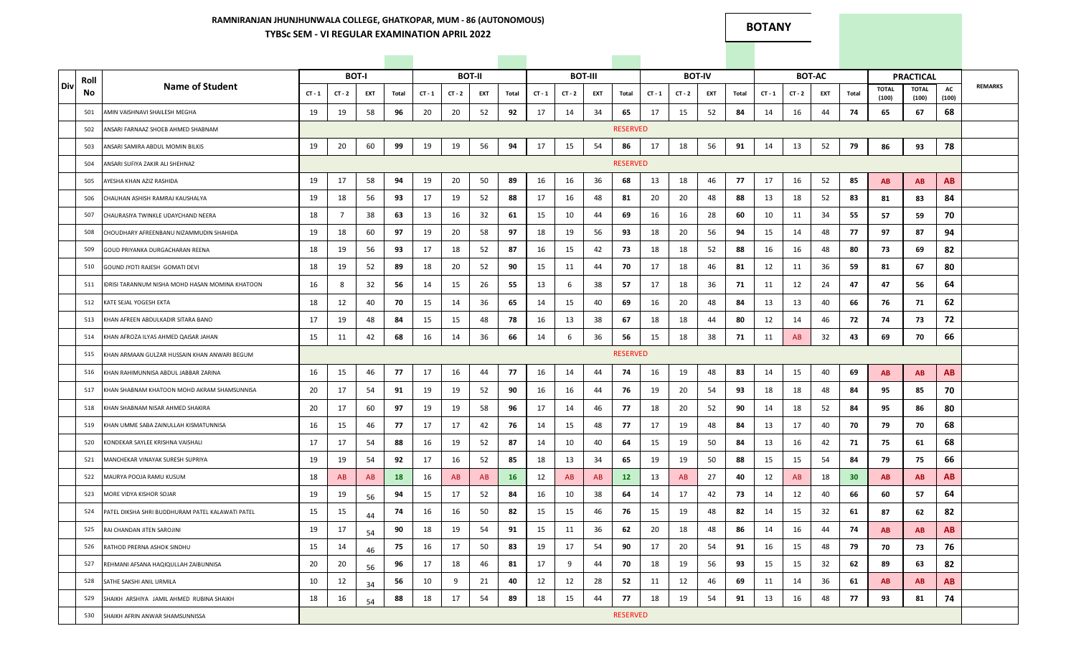### **RAMNIRANJAN JHUNJHUNWALA COLLEGE, GHATKOPAR, MUM - 86 (AUTONOMOUS) TYBSc SEM - VI REGULAR EXAMINATION APRIL 2022**

**BOTANY**

|     | Roll |                                                  |          |          | <b>BOT-I</b> |       |          |          | <b>BOT-II</b> |           |          |          | <b>BOT-III</b> |                   |          |          | <b>BOT-IV</b> |         |          |          | <b>BOT-AC</b> |                 |                       | <b>PRACTICAL</b>      |             |                |
|-----|------|--------------------------------------------------|----------|----------|--------------|-------|----------|----------|---------------|-----------|----------|----------|----------------|-------------------|----------|----------|---------------|---------|----------|----------|---------------|-----------------|-----------------------|-----------------------|-------------|----------------|
| Div | No   | <b>Name of Student</b>                           | $CT - 1$ | $CT - 2$ | EXT          | Total | $CT - 1$ | $CT - 2$ | EXT           | Total     | $CT - 1$ | $CT - 2$ | EXT            | Total             | $CT - 1$ | $CT - 2$ | EXT           | Total   | $CT - 1$ | $CT - 2$ | EXT           | Total           | <b>TOTAL</b><br>(100) | <b>TOTAL</b><br>(100) | AC<br>(100) | <b>REMARKS</b> |
|     | 501  | AMIN VAISHNAVI SHAILESH MEGHA                    | 19       | 19       | 58           | 96    | 20       | 20       | 52            | 92        | 17       | 14       | 34             | 65                | 17       | 15       | 52            | 84      | 14       | 16       | 44            | 74              | 65                    | 67                    | 68          |                |
|     | 502  | ANSARI FARNAAZ SHOEB AHMED SHABNAM               |          |          |              |       |          |          |               |           |          |          |                | <b>RESERVED</b>   |          |          |               |         |          |          |               |                 |                       |                       |             |                |
|     | 503  | ANSARI SAMIRA ABDUL MOMIN BILKIS                 | 19       | 20       | 60           | 99    | 19       | 19       | 56            | 94        | 17       | 15       | 54             | 86                | 17       | 18       | 56            | 91      | 14       | 13       | 52            | 79              | 86                    | 93                    | 78          |                |
|     | 504  | ANSARI SUFIYA ZAKIR ALI SHEHNAZ                  |          |          |              |       |          |          |               |           |          |          |                | <b>RESERVED</b>   |          |          |               |         |          |          |               |                 |                       |                       |             |                |
|     | 505  | AYESHA KHAN AZIZ RASHIDA                         | 19       | 17       | 58           | 94    | 19       | 20       | 50            | 89        | 16       | 16       | 36             | 68                | 13       | 18       | 46            | 77      | 17       | 16       | 52            | 85              | <b>AB</b>             | AB                    | AB          |                |
|     | 506  | CHAUHAN ASHISH RAMRAJ KAUSHALYA                  | 19       | 18       | 56           | 93    | 17       | 19       | 52            | 88        | 17       | 16       | 48             | 81                | 20       | 20       | 48            | 88      | 13       | 18       | 52            | 83              | 81                    | 83                    | 84          |                |
|     | 507  | CHAURASIYA TWINKLE UDAYCHAND NEERA               | 18       | 7        | 38           | 63    | 13       | 16       | 32            | 61        | 15       | 10       | 44             | 69                | 16       | 16       | 28            | 60      | 10       | 11       | 34            | 55              | 57                    | 59                    | 70          |                |
|     | 508  | CHOUDHARY AFREENBANU NIZAMMUDIN SHAHIDA          | 19       | 18       | 60           | 97    | 19       | 20       | 58            | 97        | 18       | 19       | 56             | 93                | 18       | 20       | 56            | 94      | 15       | 14       | 48            | 77              | 97                    | 87                    | 94          |                |
|     | 509  | GOUD PRIYANKA DURGACHARAN REENA                  | 18       | 19       | 56           | 93    | 17       | 18       | 52            | 87        | 16       | 15       | 42             | 73                | 18       | 18       | 52            | 88      | 16       | 16       | 48            | 80              | 73                    | 69                    | 82          |                |
|     | 510  | GOUND JYOTI RAJESH GOMATI DEVI                   | 18       | 19       | 52           | 89    | 18       | 20       | 52            | 90        | 15       | 11       | 44             | 70                | 17       | 18       | 46            | 81      | 12       | 11       | 36            | 59              | 81                    | 67                    | 80          |                |
|     | 511  | DRISI TARANNUM NISHA MOHD HASAN MOMINA KHATOON   | 16       | 8        | 32           | 56    | 14       | 15       | 26            | 55        | 13       | 6        | 38             | 57                | 17       | 18       | 36            | 71      | 11       | 12       | 24            | 47              | 47                    | 56                    | 64          |                |
|     | 512  | KATE SEJAL YOGESH EKTA                           | 18       | 12       | 40           | 70    | 15       | 14       | 36            | 65        | 14       | 15       | 40             | 69                | 16       | 20       | 48            | 84      | 13       | 13       | 40            | 66              | 76                    | 71                    | 62          |                |
|     | 513  | KHAN AFREEN ABDULKADIR SITARA BANO               | 17       | 19       | 48           | 84    | 15       | 15       | 48            | 78        | 16       | 13       | 38             | 67                | 18       | 18       | 44            | 80      | 12       | 14       | 46            | 72              | 74                    | 73                    | 72          |                |
|     | 514  | KHAN AFROZA ILYAS AHMED QAISAR JAHAN             | 15       | 11       | 42           | 68    | 16       | 14       | 36            | 66        | 14       | 6        | 36             | 56                | 15       | 18       | 38            | 71      | 11       | AB       | 32            | 43              | 69                    | 70                    | 66          |                |
|     | 515  | KHAN ARMAAN GULZAR HUSSAIN KHAN ANWARI BEGUM     |          |          |              |       |          |          |               |           |          |          |                | <b>RESERVED</b>   |          |          |               |         |          |          |               |                 |                       |                       |             |                |
|     | 516  | KHAN RAHIMUNNISA ABDUL JABBAR ZARINA             | 16       | 15       | 46           | 77    | 17       | 16       | 44            | 77        | 16       | 14       | 44             | 74                | 16       | 19       | 48            | 83      | 14       | 15       | 40            | 69              | <b>AB</b>             | <b>AB</b>             | <b>AB</b>   |                |
|     | 517  | KHAN SHABNAM KHATOON MOHD AKRAM SHAMSUNNISA      | 20       | 17       | 54           | 91    | 19       | 19       | 52            | 90        | 16       | 16       | 44             | 76                | 19       | 20       | 54            | 93      | 18       | 18       | 48            | 84              | 95                    | 85                    | 70          |                |
|     | 518  | KHAN SHABNAM NISAR AHMED SHAKIRA                 | 20       | 17       | 60           | 97    | 19       | 19       | 58            | 96        | 17       | 14       | 46             | 77                | 18       | 20       | 52            | 90      | 14       | 18       | 52            | 84              | 95                    | 86                    | 80          |                |
|     | 519  | KHAN UMME SABA ZAINULLAH KISMATUNNISA            | 16       | 15       | 46           | 77    | 17       | 17       | 42            | 76        | 14       | 15       | 48             | 77                | 17       | 19       | 48            | 84      | 13       | 17       | 40            | 70              | 79                    | 70                    | 68          |                |
|     | 520  | KONDEKAR SAYLEE KRISHNA VAISHALI                 | 17       | 17       | 54           | 88    | 16       | 19       | 52            | 87        | 14       | 10       | 40             | 64                | 15       | 19       | 50            | 84      | 13       | 16       | 42            | 71              | 75                    | 61                    | 68          |                |
|     | 521  | MANCHEKAR VINAYAK SURESH SUPRIYA                 | 19       | 19       | 54           | 92    | 17       | 16       | 52            | 85        | 18       | 13       | 34             | 65                | 19       | 19       | 50            | 88      | 15       | 15       | 54            | 84              | 79                    | 75                    | 66          |                |
|     | 522  | MAURYA POOJA RAMU KUSUM                          | 18       | AB       | AB           | 18    | 16       | AB       | AB            | <b>16</b> | 12       | AB       | AB             | $12 \overline{ }$ | 13       | AB       | 27            | 40      | 12       | AB       | 18            | 30 <sub>2</sub> | <b>AB</b>             | AB                    | AB          |                |
|     | 523  | MORE VIDYA KISHOR SOJAR                          | 19       | 19       | 56           | 94    | 15       | 17       | 52            | 84        | 16       | 10       | 38             | 64                | 14       | 17       | 42            | 73      | 14       | 12       | 40            | 66              | 60                    | 57                    | 64          |                |
|     | 524  | PATEL DIKSHA SHRI BUDDHURAM PATEL KALAWATI PATEL | 15       | 15       | 44           | 74    | 16       | 16       | 50            | 82        | 15       | 15       | 46             | 76                | 15       | 19       | 48            | 82      | 14       | 15       | 32            | 61              | 87                    | 62                    | 82          |                |
|     | 525  | RAI CHANDAN JITEN SAROJINI                       | 19       | 17       | 54           | 90    | 18       | 19       | 54            | 91        | 15       | 11       | 36             | 62                | 20       | 18       | 48            | 86<br>w | 14       | 16       | 44            | 74              | AB                    | <b>AB</b>             | AB.         |                |
|     | 526  | RATHOD PRERNA ASHOK SINDHU                       | 15       | 14       | 46           | 75    | 16       | 17       | 50            | 83        | 19       | 17       | 54             | 90                | 17       | 20       | 54            | 91      | 16       | 15       | 48            | 79              | 70                    | 73                    | 76          |                |
|     | 527  | REHMANI AFSANA HAQIQULLAH ZAIBUNNISA             | 20       | 20       | 56           | 96    | 17       | 18       | 46            | 81        | 17       | 9        | 44             | 70                | 18       | 19       | 56            | 93      | 15       | 15       | 32            | 62              | 89                    | 63                    | 82          |                |
|     | 528  | SATHE SAKSHI ANIL URMILA                         | 10       | 12       | 34           | 56    | 10       | 9        | 21            | 40        | 12       | 12       | 28             | 52                | 11       | 12       | 46            | 69      | 11       | 14       | 36            | 61              | <b>AB</b>             | AB                    | <b>AB</b>   |                |
|     | 529  | SHAIKH ARSHIYA JAMIL AHMED RUBINA SHAIKH         | 18       | 16       | 54           | 88    | 18       | 17       | 54            | 89        | 18       | 15       | 44             | 77                | 18       | 19       | 54            | 91      | 13       | 16       | 48            | 77              | 93                    | 81                    | 74          |                |
|     | 530  | SHAIKH AFRIN ANWAR SHAMSUNNISSA                  |          |          |              |       |          |          |               |           |          |          |                | <b>RESERVED</b>   |          |          |               |         |          |          |               |                 |                       |                       |             |                |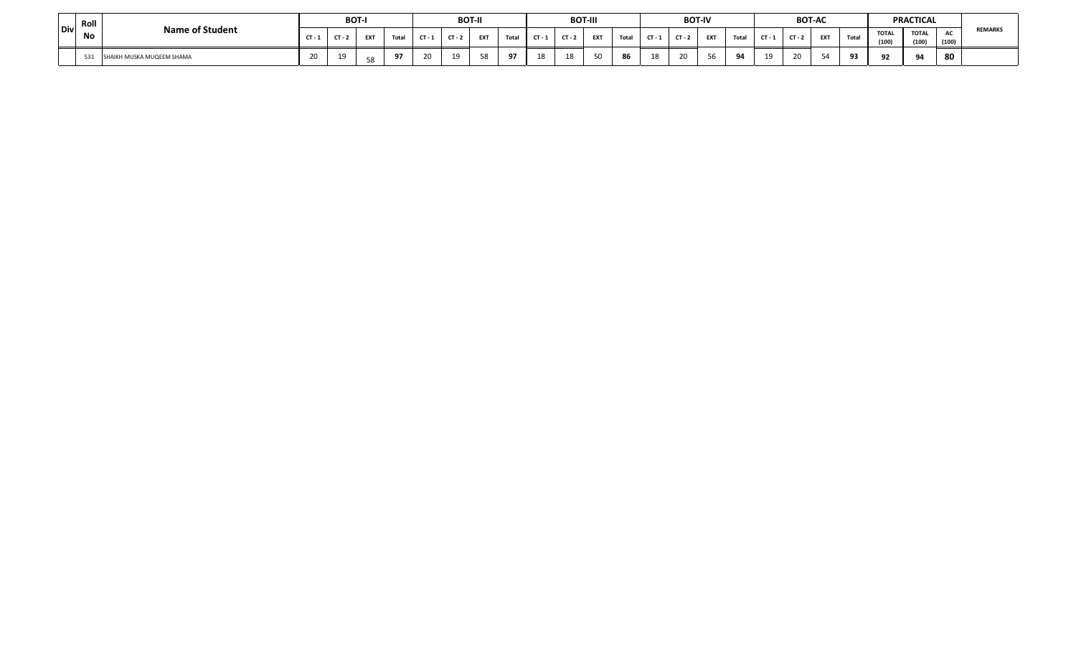|            | Roll |                           |          |          | <b>BOT-I</b> |      |        |          | <b>BOT-II</b> |      |      |          | <b>BOT-III</b> |                |                |        | <b>BOT-IV</b> |          |     |          | <b>BOT-AC</b> |       |                       | <b>PRACTICAL</b>      |                       |                |
|------------|------|---------------------------|----------|----------|--------------|------|--------|----------|---------------|------|------|----------|----------------|----------------|----------------|--------|---------------|----------|-----|----------|---------------|-------|-----------------------|-----------------------|-----------------------|----------------|
| <b>Div</b> | No   | <b>Name of Student</b>    | $CT - 1$ | $CT - 7$ | <b>FXT</b>   | $-1$ | $\sim$ | $CT - 2$ | EXT           | Tota | CT - | $CT - 3$ | <b>EXT</b>     | Total          | $CT -$         |        | <b>EXT</b>    | Tota     | CT- | $CT - 2$ | <b>EXT</b>    | Total | <b>TOTAL</b><br>(100) | <b>TOTAL</b><br>(100) | $\mathbf{r}$<br>(100) | <b>REMARKS</b> |
|            | 531  | SHAIKH MUSKA MUQEEM SHAMA | 20       | 19       |              | -97  |        | 19       | 58<br>ںر      |      | 19   |          |                | $\sim$<br>- 24 | 1 <sup>Q</sup> | $\sim$ |               | $\Omega$ |     | <b>.</b> |               | n,    |                       | $\Omega$              | 80                    |                |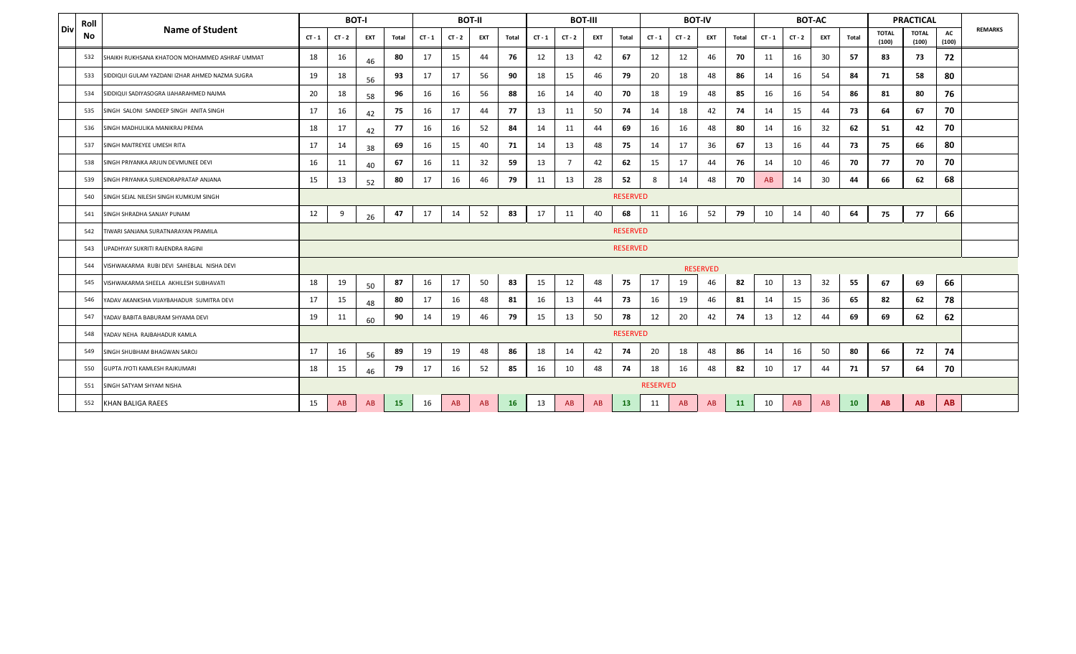|       | Roll |                                                |                 |          | <b>BOT-I</b> |           |          |          | <b>BOT-II</b> |           |          |                | <b>BOT-III</b> |                 |          | <b>BOT-IV</b> |                 |           |          | <b>BOT-AC</b> |            |       |                       | <b>PRACTICAL</b>      |             |                |
|-------|------|------------------------------------------------|-----------------|----------|--------------|-----------|----------|----------|---------------|-----------|----------|----------------|----------------|-----------------|----------|---------------|-----------------|-----------|----------|---------------|------------|-------|-----------------------|-----------------------|-------------|----------------|
| l Div | No   | <b>Name of Student</b>                         | $CT - 1$        | $CT - 2$ | EXT          | Total     | $CT - 1$ | $CT - 2$ | <b>EXT</b>    | Total     | $CT - 1$ | $CT - 2$       | EXT            | Total           | $CT - 1$ | $CT - 2$      | <b>EXT</b>      | Total     | $CT - 1$ | $CT - 2$      | <b>EXT</b> | Total | <b>TOTAL</b><br>(100) | <b>TOTAL</b><br>(100) | AC<br>(100) | <b>REMARKS</b> |
|       | 532  | SHAIKH RUKHSANA KHATOON MOHAMMED ASHRAF UMMAT  | 18              | 16       | 46           | 80        | 17       | 15       | 44            | 76        | 12       | 13             | 42             | 67              | 12       | 12            | 46              | 70        | 11       | 16            | 30         | 57    | 83                    | 73                    | 72          |                |
|       | 533  | SIDDIQUI GULAM YAZDANI IZHAR AHMED NAZMA SUGRA | 19              | 18       | 56           | 93        | 17       | 17       | 56            | 90        | 18       | 15             | 46             | 79              | 20       | 18            | 48              | 86        | 14       | 16            | 54         | 84    | 71                    | 58                    | 80          |                |
|       | 534  | SIDDIQUI SADIYASOGRA IJAHARAHMED NAJMA         | 20              | 18       | 58           | 96        | 16       | 16       | 56            | 88        | 16       | 14             | 40             | 70              | 18       | 19            | 48              | 85        | 16       | 16            | 54         | 86    | 81                    | 80                    | 76          |                |
|       | 535  | SINGH SALONI SANDEEP SINGH ANITA SINGH         | 17              | 16       | 42           | 75        | 16       | 17       | 44            | 77        | 13       | 11             | 50             | 74              | 14       | 18            | 42              | 74        | 14       | 15            | 44         | 73    | 64                    | 67                    | 70          |                |
|       | 536  | SINGH MADHULIKA MANIKRAJ PREMA                 | 18              | 17       | 42           | 77        | 16       | 16       | 52            | 84        | 14       | 11             | 44             | 69              | 16       | 16            | 48              | 80        | 14       | 16            | 32         | 62    | 51                    | 42                    | 70          |                |
|       | 537  | SINGH MAITREYEE UMESH RITA                     | 17              | 14       | 38           | 69        | 16       | 15       | 40            | 71        | 14       | 13             | 48             | 75              | 14       | 17            | 36              | 67        | 13       | 16            | 44         | 73    | 75                    | 66                    | 80          |                |
|       | 538  | SINGH PRIYANKA ARJUN DEVMUNEE DEVI             | 16              | 11       | 40           | 67        | 16       | 11       | 32            | 59        | 13       | $\overline{7}$ | 42             | 62              | 15       | 17            | 44              | 76        | 14       | 10            | 46         | 70    | 77                    | 70                    | 70          |                |
|       | 539  | SINGH PRIYANKA SURENDRAPRATAP ANJANA           | 15              | 13       | 52           | 80        | 17       | 16       | 46            | 79        | 11       | 13             | 28             | 52              | 8        | 14            | 48              | 70        | AB       | 14            | 30         | 44    | 66                    | 62                    | 68          |                |
|       | 540  | SINGH SEJAL NILESH SINGH KUMKUM SINGH          |                 |          |              |           |          |          |               |           |          |                |                | <b>RESERVED</b> |          |               |                 |           |          |               |            |       |                       |                       |             |                |
|       | 541  | SINGH SHRADHA SANJAY PUNAM                     | 12              | 9        | 26           | 47        | 17       | 14       | 52            | 83        | 17       | 11             | 40             | 68              | 11       | 16            | 52              | 79        | 10       | 14            | 40         | 64    | 75                    | 77                    | 66          |                |
|       | 542  | TIWARI SANJANA SURATNARAYAN PRAMILA            |                 |          |              |           |          |          |               |           |          |                |                | <b>RESERVED</b> |          |               |                 |           |          |               |            |       |                       |                       |             |                |
|       | 543  | UPADHYAY SUKRITI RAJENDRA RAGINI               |                 |          |              |           |          |          |               |           |          |                |                | <b>RESERVED</b> |          |               |                 |           |          |               |            |       |                       |                       |             |                |
|       | 544  | VISHWAKARMA RUBI DEVI SAHEBLAL NISHA DEVI      |                 |          |              |           |          |          |               |           |          |                |                |                 |          |               | <b>RESERVED</b> |           |          |               |            |       |                       |                       |             |                |
|       | 545  | VISHWAKARMA SHEELA AKHILESH SUBHAVATI          | 18              | 19       | 50           | 87        | 16       | 17       | 50            | 83        | 15       | 12             | 48             | 75              | 17       | 19            | 46              | 82        | 10       | 13            | 32         | 55    | 67                    | 69                    | 66          |                |
|       | 546  | ADAV AKANKSHA VIJAYBAHADUR SUMITRA DEVI        | 17              | 15       | 48           | 80        | 17       | 16       | 48            | 81        | 16       | 13             | 44             | 73              | 16       | 19            | 46              | 81        | 14       | 15            | 36         | 65    | 82                    | 62                    | 78          |                |
|       | 547  | ADAV BABITA BABURAM SHYAMA DEVI                | 19              | 11       | 60           | 90        | 14       | 19       | 46            | 79        | 15       | 13             | 50             | 78              | 12       | 20            | 42              | 74        | 13       | 12            | 44         | 69    | 69                    | 62                    | 62          |                |
|       | 548  | YADAV NEHA RAJBAHADUR KAMLA                    |                 |          |              |           |          |          |               |           |          |                |                | <b>RESERVED</b> |          |               |                 |           |          |               |            |       |                       |                       |             |                |
|       | 549  | SINGH SHUBHAM BHAGWAN SAROJ                    | 17              | 16       | 56           | 89        | 19       | 19       | 48            | 86        | 18       | 14             | 42             | 74              | 20       | 18            | 48              | 86        | 14       | 16            | 50         | 80    | 66                    | 72                    | 74          |                |
|       | 550  | GUPTA JYOTI KAMLESH RAJKUMARI                  | 18              | 15       | 46           | 79        | 17       | 16       | 52            | 85        | 16       | 10             | 48             | 74              | 18       | 16            | 48              | 82        | 10       | 17            | 44         | 71    | 57                    | 64                    | 70          |                |
|       | 551  | SINGH SATYAM SHYAM NISHA                       | <b>RESERVED</b> |          |              |           |          |          |               |           |          |                |                |                 |          |               |                 |           |          |               |            |       |                       |                       |             |                |
|       | 552  | <b>KHAN BALIGA RAEES</b>                       | 15              | AB       | AB           | <b>15</b> | 16       | AB       | AB            | <b>16</b> | 13       | AB             | AB             | 13              | 11       | AB            | AB              | <b>11</b> | 10       | AB            | AB         | 10    | <b>AB</b>             | <b>AB</b>             | AB          |                |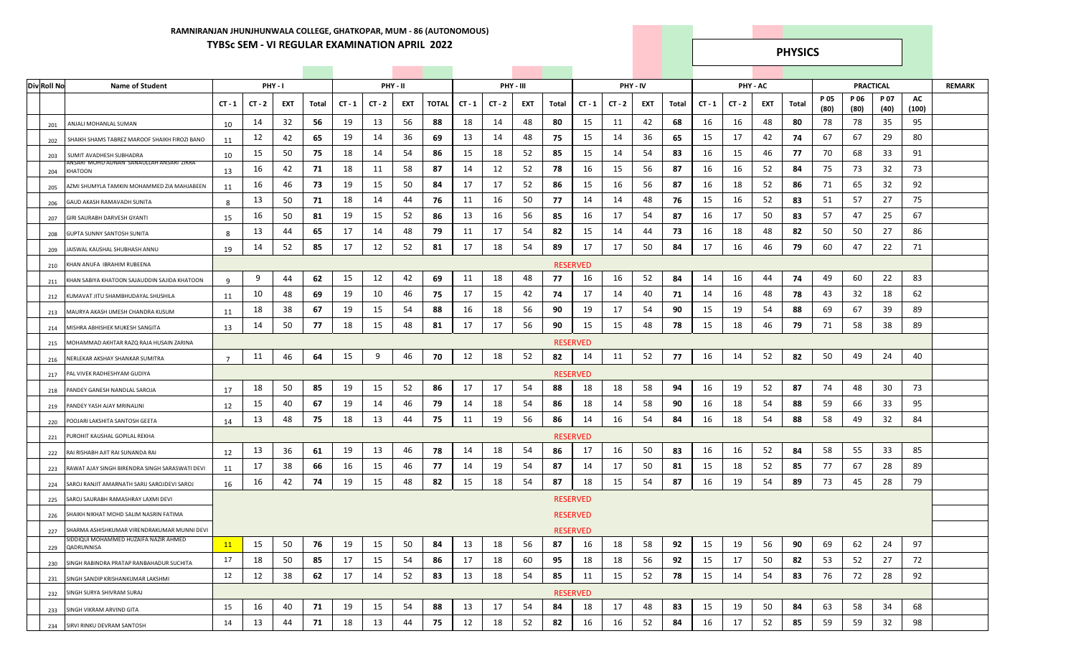## **RAMNIRANJAN JHUNJHUNWALA COLLEGE, GHATKOPAR, MUM - 86 (AUTONOMOUS) TYBSc SEM - VI REGULAR EXAMINATION APRIL 2022 PHYSICS**

| <b>Div Roll No</b> | <b>Name of Student</b>                                                                      |                | PHY-1    |     |       |          |          | PHY - II |              |          |          | PHY - III |       |                       |          | PHY - IV |       |          | PHY - AC |     |        |              | PRACTICAL    |              |             | <b>REMARK</b> |
|--------------------|---------------------------------------------------------------------------------------------|----------------|----------|-----|-------|----------|----------|----------|--------------|----------|----------|-----------|-------|-----------------------|----------|----------|-------|----------|----------|-----|--------|--------------|--------------|--------------|-------------|---------------|
|                    |                                                                                             | $CT - 1$       | $CT - 2$ | EXT | Total | $CT - 1$ | $CT - 2$ | EXT      | <b>TOTAL</b> | $CT - 1$ | $CT - 2$ | EXT       | Total | $CT - 1$              | $CT - 2$ | EXT      | Total | $CT - 1$ | $CT - 2$ | EXT | Total  | P 05<br>(80) | P 06<br>(80) | P 07<br>(40) | AC<br>(100) |               |
|                    | ANJALI MOHANLAL SUMAN<br>201                                                                | 10             | 14       | 32  | 56    | 19       | 13       | 56       | 88           | 18       | 14       | 48        | 80    | 15                    | 11       | 42       | 68    | 16       | 16       | 48  | 80     | 78           | 78           | 35           | 95          |               |
|                    | SHAIKH SHAMS TABREZ MAROOF SHAIKH FIROZI BANO<br>202                                        | 11             | 12       | 42  | 65    | 19       | 14       | 36       | 69           | 13       | 14       | 48        | 75    | 15                    | 14       | 36       | 65    | 15       | 17       | 42  | 74     | 67           | 67           | 29           | 80          |               |
|                    | SUMIT AVADHESH SUBHADRA<br>203                                                              | 10             | 15       | 50  | 75    | 18       | 14       | 54       | 86           | 15       | 18       | 52        | 85    | 15                    | 14       | 54       | 83    | 16       | 15       | 46  | 77     | 70           | 68           | 33           | 91          |               |
|                    | ANSARI MOHD ADNAN SANAULLAH ANSARI ZIKRA<br>KHATOON<br>204                                  | 13             | 16       | 42  | 71    | 18       | 11       | 58       | 87           | 14       | 12       | 52        | 78    | 16                    | 15       | 56       | 87    | 16       | 16       | 52  | 84     | 75           | 73           | 32           | 73          |               |
|                    | AZMI SHUMYLA TAMKIN MOHAMMED ZIA MAHJABEEN                                                  | 11             | 16       | 46  | 73    | 19       | 15       | 50       | 84           | 17       | 17       | 52        | 86    | 15                    | 16       | 56       | 87    | 16       | 18       | 52  | 86     | 71           | 65           | 32           | 92          |               |
|                    | 205<br>GAUD AKASH RAMAVADH SUNITA                                                           | -8             | 13       | 50  | 71    | 18       | 14       | 44       | 76           | 11       | 16       | 50        | 77    | 14                    | 14       | 48       | 76    | 15       | 16       | 52  | 83     | 51           | 57           | 27           | 75          |               |
|                    | 206<br>GIRI SAURABH DARVESH GYANTI<br>207                                                   | 15             | 16       | 50  | 81    | 19       | 15       | 52       | 86           | 13       | 16       | 56        | 85    | 16                    | 17       | 54       | 87    | 16       | 17       | 50  | 83     | 57           | 47           | 25           | 67          |               |
|                    | <b>GUPTA SUNNY SANTOSH SUNITA</b>                                                           | 8              | 13       | 44  | 65    | 17       | 14       | 48       | 79           | 11       | 17       | 54        | 82    | 15                    | 14       | 44       | 73    | 16       | 18       | 48  | 82     | 50           | 50           | 27           | 86          |               |
|                    | 208<br>JAISWAL KAUSHAL SHUBHASH ANNU                                                        | 19             | 14       | 52  | 85    | 17       | 12       | 52       | 81           | 17       | 18       | 54        | 89    | 17                    | 17       | 50       | 84    | 17       | 16       | 46  | 79     | 60           | 47           | 22           | 71          |               |
|                    | 209<br>(HAN ANUFA IBRAHIM RUBEENA<br>210                                                    |                |          |     |       |          |          |          |              |          |          |           |       | <b>RESERVED</b>       |          |          |       |          |          |     |        |              |              |              |             |               |
|                    |                                                                                             | 9              | 9        | 44  | 62    | 15       | 12       | 42       | 69           | 11       | 18       | 48        | 77    | 16                    | 16       | 52       | 84    | 14       | 16       | 44  | 74     | 49           | 60           | 22           | 83          |               |
|                    | KHAN SABIYA KHATOON SAJAUDDIN SAJIDA KHATOON<br>211                                         |                | 10       | 48  | 69    | 19       | 10       | 46       | 75           | 17       | 15       | 42        | 74    | 17                    | 14       | 40       | 71    | 14       | 16       | 48  | 78     | 43           | 32           | 18           | 62          |               |
|                    | KUMAVAT JITU SHAMBHUDAYAL SHUSHILA<br>212                                                   | 11             | 18       | 38  | 67    | 19       | 15       | 54       | 88           | 16       | 18       | 56        | 90    | 19                    | 17       | 54       | 90    | 15       | 19       | 54  | 88     | 69           | 67           | 39           | 89          |               |
|                    | MAURYA AKASH UMESH CHANDRA KUSUM<br>213                                                     | 11             | 14       | 50  | 77    | 18       | 15       | 48       | 81           | 17       | 17       | 56        | 90    | 15                    | 15       | 48       | 78    | 15       | 18       | 46  | 79     | 71           | 58           | 38           | 89          |               |
| 214                | MISHRA ABHISHEK MUKESH SANGITA<br>MOHAMMAD AKHTAR RAZQ RAJA HUSAIN ZARINA                   | 13             |          |     |       |          |          |          |              |          |          |           |       |                       |          |          |       |          |          |     |        |              |              |              |             |               |
|                    | 215                                                                                         |                | 11       | 46  | 64    | 15       | 9        | 46       | 70           | 12       | 18       | 52        | 82    | <b>RESERVED</b><br>14 | 11       | 52       | -77   | 16       | 14       | 52  | 82     | 50           | 49           | 24           | 40          |               |
|                    | NERLEKAR AKSHAY SHANKAR SUMITRA<br>216                                                      | $\overline{7}$ |          |     |       |          |          |          |              |          |          |           |       |                       |          |          |       |          |          |     |        |              |              |              |             |               |
|                    | AL VIVEK RADHESHYAM GUDIYA<br>217                                                           |                |          | 50  | 85    | 19       |          | 52       | 86           | 17       | 17       | 54        | 88    | <b>RESERVED</b>       | 18       | 58       | 94    |          |          | 52  | 87     | 74           | 48           | 30           | 73          |               |
|                    | PANDEY GANESH NANDLAL SAROJA<br>218                                                         | 17             | 18       |     |       |          | 15       |          |              |          |          |           |       | 18                    |          |          |       | 16       | 19       |     |        |              |              |              | 95          |               |
|                    | ANDEY YASH AJAY MRINALINI<br>219                                                            | 12             | 15       | 40  | 67    | 19       | 14       | 46       | 79           | 14       | 18       | 54        | 86    | 18                    | 14       | 58       | 90    | 16       | 18       | 54  | 88     | 59           | 66           | 33           |             |               |
|                    | POOJARI LAKSHITA SANTOSH GEETA<br>220                                                       | 14             | 13       | 48  | 75    | 18       | 13       | 44       | 75           | 11       | 19       | 56        | 86    | 14                    | 16       | 54       | 84    | 16       | 18       | 54  | 88     | 58           | 49           | 32           | 84          |               |
|                    | PUROHIT KAUSHAL GOPILAL REKHA<br>221                                                        |                |          |     |       |          |          |          |              |          |          |           |       | <b>RESERVED</b>       |          |          |       |          |          |     |        |              |              |              |             |               |
|                    | RAI RISHABH AJIT RAI SUNANDA RAI<br>222                                                     | 12             | 13       | 36  | 61    | 19       | 13       | 46       | 78           | 14       | 18       | 54        | 86    | -17                   | 16       | 50       | 83    | 16       | 16       | 52  | 84     | 58           | 55           | 33           | 85          |               |
|                    | RAWAT AJAY SINGH BIRENDRA SINGH SARASWATI DEVI<br>223                                       | 11             | 17       | 38  | 66    | 16       | 15       | 46       | 77           | 14       | 19       | 54        | 87    | 14                    | 17       | 50       | 81    | 15       | 18       | 52  | 85     | 77           | 67           | 28           | 89          |               |
|                    | SAROJ RANJIT AMARNATH SARIJ SAROJDEVI SAROJ<br>224                                          | 16             | 16       | 42  | 74    | 19       | 15       | 48       | 82           | 15       | 18       | 54        | 87    | 18                    | 15       | 54       | 87    | 16       | 19       | 54  | 89     | 73           | 45           | 28           | 79          |               |
|                    | SAROJ SAURABH RAMASHRAY LAXMI DEVI<br>225                                                   |                |          |     |       |          |          |          |              |          |          |           |       | <b>RESERVED</b>       |          |          |       |          |          |     |        |              |              |              |             |               |
|                    | SHAIKH NIKHAT MOHD SALIM NASRIN FATIMA<br>226                                               |                |          |     |       |          |          |          |              |          |          |           |       | <b>RESERVED</b>       |          |          |       |          |          |     |        |              |              |              |             |               |
|                    | SHARMA ASHISHKUMAR VIRENDRAKUMAR MUNNI DEVI<br>227<br>SIDDIQUI MOHAMMED HUZAIFA NAZIR AHMED |                |          |     |       |          |          |          |              |          |          |           |       | <b>RESERVED</b>       |          |          |       |          |          |     |        |              |              |              |             |               |
|                    | 229 QADRUNNISA                                                                              | <b>11</b>      | 15       | 50  | 76    | 19       | 15       | 50       | 84           | 13       | 18       | 56        | 87    | 16                    | 18       | 58       | 92    | 15       | 19       | 56  | $90\,$ | 69           | 62           | 24           | 97          |               |
|                    | 230 SINGH RABINDRA PRATAP RANBAHADUR SUCHITA                                                | 17             | 18       | 50  | 85    | 17       | 15       | 54       | 86           | 17       | 18       | 60        | 95    | 18                    | 18       | 56       | 92    | 15       | 17       | 50  | 82     | 53           | 52           | 27           | 72          |               |
|                    | SINGH SANDIP KRISHANKUMAR LAKSHMI<br>231                                                    | 12             | 12       | 38  | 62    | 17       | 14       | 52       | 83           | 13       | 18       | 54        | 85    | 11                    | 15       | 52       | 78    | 15       | 14       | 54  | 83     | 76           | 72           | 28           | 92          |               |
|                    | SINGH SURYA SHIVRAM SURAJ<br>232                                                            |                |          |     |       |          |          |          |              |          |          |           |       | <b>RESERVED</b>       |          |          |       |          |          |     |        |              |              |              |             |               |
|                    | SINGH VIKRAM ARVIND GITA<br>233                                                             | 15             | 16       | 40  | 71    | 19       | 15       | 54       | 88           | 13       | 17       | 54        | 84    | 18                    | 17       | 48       | 83    | 15       | 19       | 50  | 84     | 63           | 58           | 34           | 68          |               |
|                    | SIRVI RINKU DEVRAM SANTOSH<br>234                                                           | 14             | 13       | 44  | 71    | 18       | 13       | 44       | 75           | 12       | 18       | 52        | 82    | 16                    | 16       | 52       | 84    | 16       | 17       | 52  | 85     | 59           | 59           | 32           | 98          |               |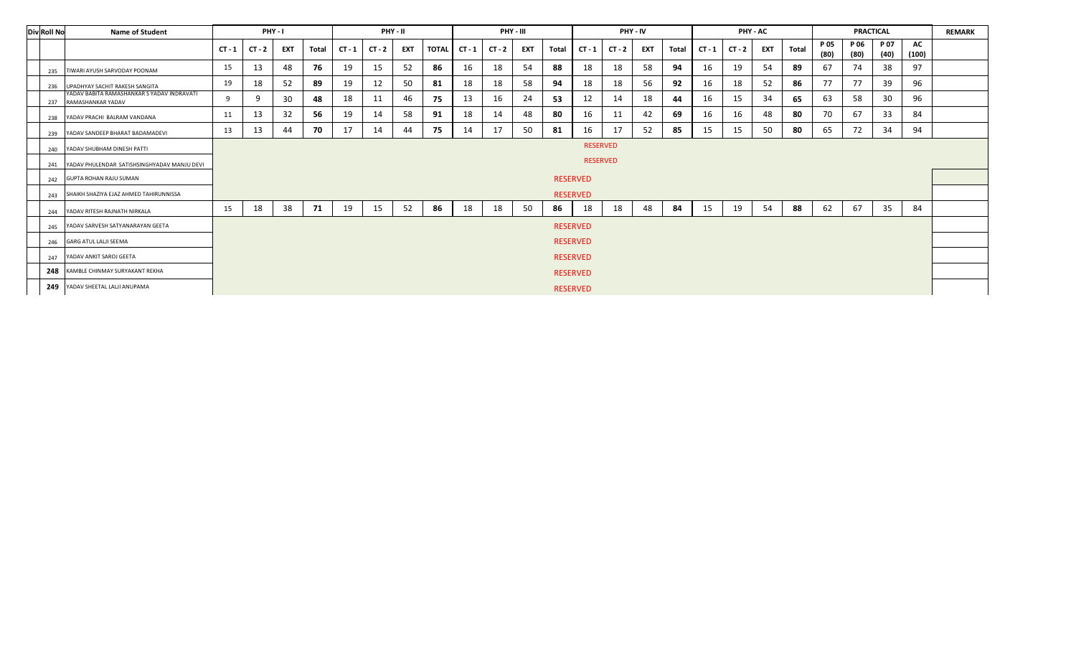| <b>Div Roll No</b> | <b>Name of Student</b>                                          |          |                                    | PHY-1      |       |          | PHY - II |            |              |          | PHY - III |            |       |                 | PHY - IV |            |       |          | PHY - AC |            |       |              | <b>PRACTICAL</b> |              |             | <b>REMARK</b> |
|--------------------|-----------------------------------------------------------------|----------|------------------------------------|------------|-------|----------|----------|------------|--------------|----------|-----------|------------|-------|-----------------|----------|------------|-------|----------|----------|------------|-------|--------------|------------------|--------------|-------------|---------------|
|                    |                                                                 | $CT - 1$ | $CT - 2$                           | <b>EXT</b> | Total | $CT - 1$ | $CT - 2$ | <b>EXT</b> | <b>TOTAL</b> | $CT - 1$ | $CT - 2$  | <b>EXT</b> | Total | $CT - 1$        | $CT - 2$ | <b>EXT</b> | Total | $CT - 1$ | $CT - 2$ | <b>EXT</b> | Total | P 05<br>(80) | P 06<br>(80)     | P 07<br>(40) | AC<br>(100) |               |
| 235                | TIWARI AYUSH SARVODAY POONAM                                    | 15       | 13                                 | 48         | 76    | 19       | 15       | 52         | 86           | 16       | 18        | 54         | 88    | 18              | 18       | 58         | 94    | 16       | 19       | 54         | 89    | 67           | 74               | 38           | 97          |               |
| 236                | UPADHYAY SACHIT RAKESH SANGITA                                  | 19       | 18                                 | 52         | 89    | 19       | 12       | 50         | 81           | 18       | 18        | 58         | 94    | 18              | 18       | 56         | 92    | 16       | 18       | 52         | 86    | 77           | 77               | 39           | 96          |               |
| 237                | YADAV BABITA RAMASHANKAR S YADAV INDRAVATI<br>RAMASHANKAR YADAV | -9       | 9                                  | 30         | 48    | 18       | 11       | 46         | 75           | 13       | 16        | 24         | 53    | 12              | 14       | 18         | 44    | 16       | 15       | 34         | 65    | 63           | 58               | 30           | 96          |               |
| 238                | YADAV PRACHI BALRAM VANDANA                                     | 11       | 13                                 | 32         | 56    | 19       | 14       | 58         | 91           | 18       | 14        | 48         | 80    | 16              | 11       | 42         | 69    | 16       | 16       | 48         | 80    | 70           | -67              | 33           | 84          |               |
| 239                | YADAV SANDEEP BHARAT BADAMADEVI                                 | 13       | 13                                 | 44         | 70    | 17       | 14       | 44         | 75           | 14       | 17        | 50         | 81    | 16              | 17       | 52         | 85    | 15       | 15       | 50         | 80    | 65           | 72               | 34           | 94          |               |
| 240                | YADAV SHUBHAM DINESH PATTI                                      |          |                                    |            |       |          |          |            |              |          |           |            |       |                 |          |            |       |          |          |            |       |              |                  |              |             |               |
| 241                | YADAV PHULENDAR SATISHSINGHYADAV MANJU DEVI                     |          | <b>RESERVED</b><br><b>RESERVED</b> |            |       |          |          |            |              |          |           |            |       |                 |          |            |       |          |          |            |       |              |                  |              |             |               |
| 242                | <b>GUPTA ROHAN RAJU SUMAN</b>                                   |          |                                    |            |       |          |          |            |              |          |           |            |       | <b>RESERVED</b> |          |            |       |          |          |            |       |              |                  |              |             |               |
| 243                | SHAIKH SHAZIYA EJAZ AHMED TAHIRUNNISSA                          |          |                                    |            |       |          |          |            |              |          |           |            |       | <b>RESERVED</b> |          |            |       |          |          |            |       |              |                  |              |             |               |
| 244                | YADAV RITESH RAJNATH NIRKALA                                    | 15       | 18                                 | 38         | 71    | 19       | 15       | 52         | 86           | 18       | 18        | 50         | 86    | 18              | 18       | 48         | 84    | 15       | 19       | 54         | 88    | 62           | 67               | 35           | 84          |               |
| 245                | YADAV SARVESH SATYANARAYAN GEETA                                |          |                                    |            |       |          |          |            |              |          |           |            |       | <b>RESERVED</b> |          |            |       |          |          |            |       |              |                  |              |             |               |
| 246                | <b>GARG ATUL LALJI SEEMA</b>                                    |          |                                    |            |       |          |          |            |              |          |           |            |       | <b>RESERVED</b> |          |            |       |          |          |            |       |              |                  |              |             |               |
| 247                | YADAV ANKIT SAROJ GEETA                                         |          |                                    |            |       |          |          |            |              |          |           |            |       | <b>RESERVED</b> |          |            |       |          |          |            |       |              |                  |              |             |               |
| 248                | KAMBLE CHINMAY SURYAKANT REKHA                                  |          |                                    |            |       |          |          |            |              |          |           |            |       | <b>RESERVED</b> |          |            |       |          |          |            |       |              |                  |              |             |               |
|                    | 249 YADAV SHEETAL LALJI ANUPAMA                                 |          |                                    |            |       |          |          |            |              |          |           |            |       | <b>RESERVED</b> |          |            |       |          |          |            |       |              |                  |              |             |               |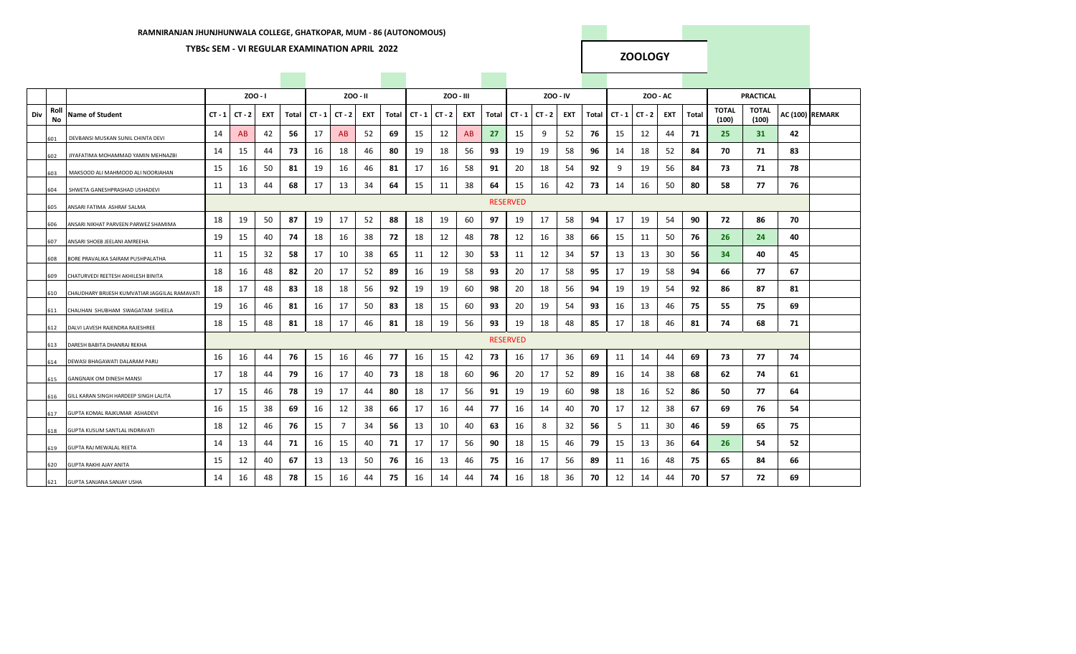### **TYBSc SEM - VI REGULAR EXAMINATION APRIL 2022**

### **ZOOLOGY**

|     |            |                                               |          | $200 - 1$ |            |       |    |                   | ZOO - II   |       |          |          | ZOO - III |       |                 | Z00 - IV |            |       |          | ZOO - AC |            |       |                       | <b>PRACTICAL</b>      |    |                 |
|-----|------------|-----------------------------------------------|----------|-----------|------------|-------|----|-------------------|------------|-------|----------|----------|-----------|-------|-----------------|----------|------------|-------|----------|----------|------------|-------|-----------------------|-----------------------|----|-----------------|
| Div | Roll<br>No | <b>Name of Student</b>                        | $CT - 1$ | $CT - 2$  | <b>EXT</b> | Total |    | $CT - 1$ $CT - 2$ | <b>EXT</b> | Total | $CT - 1$ | $CT - 2$ | EXT       | Total | $CT - 1$        | $CT - 2$ | <b>EXT</b> | Total | $CT - 1$ | $CT - 2$ | <b>EXT</b> | Total | <b>TOTAL</b><br>(100) | <b>TOTAL</b><br>(100) |    | AC (100) REMARK |
|     | 601        | DEVBANSI MUSKAN SUNIL CHINTA DEVI             | 14       | AB        | 42         | 56    | 17 | AB                | 52         | 69    | 15       | 12       | AB        | 27    | 15              | 9        | 52         | 76    | 15       | 12       | 44         | 71    | 25                    | 31                    | 42 |                 |
|     | 602        | JIYAFATIMA MOHAMMAD YAMIN MEHNAZBI            | 14       | 15        | 44         | 73    | 16 | 18                | 46         | 80    | 19       | 18       | 56        | 93    | 19              | 19       | 58         | 96    | 14       | 18       | 52         | 84    | 70                    | 71                    | 83 |                 |
|     | 603        | MAKSOOD ALI MAHMOOD ALI NOORJAHAN             | 15       | 16        | 50         | 81    | 19 | 16                | 46         | 81    | 17       | 16       | 58        | 91    | 20              | 18       | 54         | 92    | 9        | 19       | 56         | 84    | 73                    | 71                    | 78 |                 |
|     | 604        | SHWETA GANESHPRASHAD USHADEVI                 | 11       | 13        | 44         | 68    | 17 | 13                | 34         | 64    | 15       | 11       | 38        | 64    | 15              | 16       | 42         | 73    | 14       | 16       | 50         | 80    | 58                    | 77                    | 76 |                 |
|     | 605        | ANSARI FATIMA ASHRAF SALMA                    |          |           |            |       |    |                   |            |       |          |          |           |       | <b>RESERVED</b> |          |            |       |          |          |            |       |                       |                       |    |                 |
|     | 606        | ANSARI NIKHAT PARVEEN PARWEZ SHAMIMA          | 18       | 19        | 50         | 87    | 19 | 17                | 52         | 88    | 18       | 19       | 60        | 97    | 19              | 17       | 58         | 94    | 17       | 19       | 54         | 90    | 72                    | 86                    | 70 |                 |
|     | 607        | ANSARI SHOEB JEELANI AMREEHA                  | 19       | 15        | 40         | 74    | 18 | 16                | 38         | 72    | 18       | 12       | 48        | 78    | 12              | 16       | 38         | 66    | 15       | 11       | 50         | 76    | 26                    | 24                    | 40 |                 |
|     | 608        | BORE PRAVALIKA SAIRAM PUSHPALATHA             | 11       | 15        | 32         | 58    | 17 | 10                | 38         | 65    | 11       | 12       | 30        | 53    | 11              | 12       | 34         | 57    | 13       | 13       | 30         | 56    | 34                    | 40                    | 45 |                 |
|     | 609        | CHATURVEDI REETESH AKHILESH BINITA            | 18       | 16        | 48         | 82    | 20 | 17                | 52         | 89    | 16       | 19       | 58        | 93    | 20              | 17       | 58         | 95    | 17       | 19       | 58         | 94    | 66                    | 77                    | 67 |                 |
|     | 610        | CHAUDHARY BRIJESH KUMVATIAR JAGGILAL RAMAVATI | 18       | 17        | 48         | 83    | 18 | 18                | 56         | 92    | 19       | 19       | 60        | 98    | 20              | 18       | 56         | 94    | 19       | 19       | 54         | 92    | 86                    | 87                    | 81 |                 |
|     | 611        | CHAUHAN SHUBHAM SWAGATAM SHEELA               | 19       | 16        | 46         | 81    | 16 | 17                | 50         | 83    | 18       | 15       | 60        | 93    | 20              | 19       | 54         | 93    | 16       | 13       | 46         | 75    | 55                    | 75                    | 69 |                 |
|     | 612        | DALVI LAVESH RAJENDRA RAJESHREE               | 18       | 15        | 48         | 81    | 18 | 17                | 46         | 81    | 18       | 19       | 56        | 93    | 19              | 18       | 48         | 85    | 17       | 18       | 46         | 81    | 74                    | 68                    | 71 |                 |
|     | 613        | DARESH BABITA DHANRAJ REKHA                   |          |           |            |       |    |                   |            |       |          |          |           |       | <b>RESERVED</b> |          |            |       |          |          |            |       |                       |                       |    |                 |
|     | 614        | DEWASI BHAGAWATI DALARAM PARU                 | 16       | 16        | 44         | 76    | 15 | 16                | 46         | 77    | 16       | 15       | 42        | 73    | 16              | 17       | 36         | 69    | 11       | 14       | 44         | 69    | 73                    | 77                    | 74 |                 |
|     | 615        | <b>GANGNAIK OM DINESH MANSI</b>               | 17       | 18        | 44         | 79    | 16 | 17                | 40         | 73    | 18       | 18       | 60        | 96    | 20              | 17       | 52         | 89    | 16       | 14       | 38         | 68    | 62                    | 74                    | 61 |                 |
|     | 616        | GILL KARAN SINGH HARDEEP SINGH LALITA         | 17       | 15        | 46         | 78    | 19 | 17                | 44         | 80    | 18       | 17       | 56        | 91    | 19              | 19       | 60         | 98    | 18       | 16       | 52         | 86    | 50                    | 77                    | 64 |                 |
|     | 617        | GUPTA KOMAL RAJKUMAR ASHADEVI                 | 16       | 15        | 38         | 69    | 16 | 12                | 38         | 66    | 17       | 16       | 44        | 77    | 16              | 14       | 40         | 70    | 17       | 12       | 38         | 67    | 69                    | 76                    | 54 |                 |
|     | 618        | <b>GUPTA KUSUM SANTLAL INDRAVATI</b>          | 18       | 12        | 46         | 76    | 15 | 7                 | 34         | 56    | 13       | 10       | 40        | 63    | 16              | 8        | 32         | 56    | 5        | 11       | 30         | 46    | 59                    | 65                    | 75 |                 |
|     | 619        | GUPTA RAJ MEWALAL REETA                       | 14       | 13        | 44         | 71    | 16 | 15                | 40         | 71    | 17       | 17       | 56        | 90    | 18              | 15       | 46         | 79    | 15       | 13       | 36         | 64    | 26                    | 54                    | 52 |                 |
|     | 620        | <b>GUPTA RAKHI AJAY ANITA</b>                 | 15       | 12        | 40         | 67    | 13 | 13                | 50         | 76    | 16       | 13       | 46        | 75    | 16              | 17       | 56         | 89    | 11       | 16       | 48         | 75    | 65                    | 84                    | 66 |                 |
|     | 621        | <b>GUPTA SANJANA SANJAY USHA</b>              | 14       | 16        | 48         | 78    | 15 | 16                | 44         | 75    | 16       | 14       | 44        | 74    | 16              | 18       | 36         | 70    | 12       | 14       | 44         | 70    | 57                    | 72                    | 69 |                 |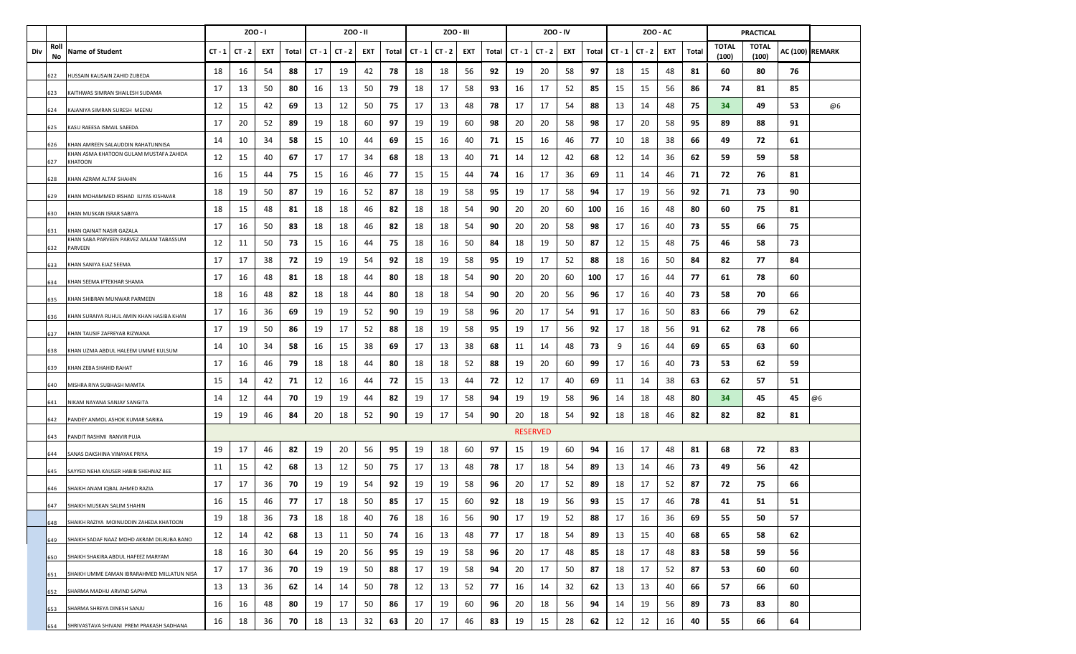|     |            |                                                    |          | $200 - 1$ |     |       |          |          | ZOO - II |       |          | ZOO - III |     |       |          |                 | Z00 - IV |       |          | ZOO - AC |     |       |                       | <b>PRACTICAL</b>      |    |                 |
|-----|------------|----------------------------------------------------|----------|-----------|-----|-------|----------|----------|----------|-------|----------|-----------|-----|-------|----------|-----------------|----------|-------|----------|----------|-----|-------|-----------------------|-----------------------|----|-----------------|
| Div | Roll<br>No | Name of Student                                    | $CT - 1$ | $CT - 2$  | EXT | Total | $CT - 1$ | $CT - 2$ | EXT      | Total | $CT - 1$ | $CT - 2$  | EXT | Total | $CT - 1$ | $CT - 2$        | EXT      | Total | $CT - 1$ | $CT - 2$ | EXT | Total | <b>TOTAL</b><br>(100) | <b>TOTAL</b><br>(100) |    | AC (100) REMARK |
|     | 622        | IUSSAIN KAUSAIN ZAHID ZUBEDA                       | 18       | 16        | 54  | 88    | 17       | 19       | 42       | 78    | 18       | 18        | 56  | 92    | 19       | 20              | 58       | 97    | 18       | 15       | 48  | 81    | 60                    | 80                    | 76 |                 |
|     | 523        | KAITHWAS SIMRAN SHAILESH SUDAMA                    | 17       | 13        | 50  | 80    | 16       | 13       | 50       | 79    | 18       | 17        | 58  | 93    | 16       | 17              | 52       | 85    | 15       | 15       | 56  | 86    | 74                    | 81                    | 85 |                 |
|     | 624        | KAJANIYA SIMRAN SURESH MEENU                       | 12       | 15        | 42  | 69    | 13       | 12       | 50       | 75    | 17       | 13        | 48  | 78    | 17       | 17              | 54       | 88    | 13       | 14       | 48  | 75    | 34                    | 49                    | 53 | @6              |
|     | 625        | KASU RAEESA ISMAIL SAEEDA                          | 17       | 20        | 52  | 89    | 19       | 18       | 60       | 97    | 19       | 19        | 60  | 98    | 20       | 20              | 58       | 98    | 17       | 20       | 58  | 95    | 89                    | 88                    | 91 |                 |
|     | 526        | KHAN AMREEN SALAUDDIN RAHATUNNISA                  | 14       | 10        | 34  | 58    | 15       | 10       | 44       | 69    | 15       | 16        | 40  | 71    | 15       | 16              | 46       | 77    | 10       | 18       | 38  | 66    | 49                    | 72                    | 61 |                 |
|     | 627        | KHAN ASMA KHATOON GULAM MUSTAFA ZAHIDA<br>KHATOON  | 12       | 15        | 40  | 67    | 17       | 17       | 34       | 68    | 18       | 13        | 40  | 71    | 14       | 12              | 42       | 68    | 12       | 14       | 36  | 62    | 59                    | 59                    | 58 |                 |
|     | 528        | KHAN AZRAM ALTAF SHAHIN                            | 16       | 15        | 44  | 75    | 15       | 16       | 46       | 77    | 15       | 15        | 44  | 74    | 16       | 17              | 36       | 69    | 11       | 14       | 46  | 71    | 72                    | 76                    | 81 |                 |
|     | 529        | (HAN MOHAMMED IRSHAD ILIYAS KISHWAR                | 18       | 19        | 50  | 87    | 19       | 16       | 52       | 87    | 18       | 19        | 58  | 95    | 19       | 17              | 58       | 94    | 17       | 19       | 56  | 92    | 71                    | 73                    | 90 |                 |
|     | 630        | KHAN MUSKAN ISRAR SABIYA                           | 18       | 15        | 48  | 81    | 18       | 18       | 46       | 82    | 18       | 18        | 54  | 90    | 20       | 20              | 60       | 100   | 16       | 16       | 48  | 80    | 60                    | 75                    | 81 |                 |
|     | 631        | KHAN QAINAT NASIR GAZALA                           | 17       | 16        | 50  | 83    | 18       | 18       | 46       | 82    | 18       | 18        | 54  | 90    | 20       | 20              | 58       | 98    | 17       | 16       | 40  | 73    | 55                    | 66                    | 75 |                 |
|     | 632        | KHAN SABA PARVEEN PARVEZ AALAM TABASSUM<br>PARVEEN | 12       | 11        | 50  | 73    | 15       | 16       | 44       | 75    | 18       | 16        | 50  | 84    | 18       | 19              | 50       | 87    | 12       | 15       | 48  | 75    | 46                    | 58                    | 73 |                 |
|     | 633        | <b>CHAN SANIYA EJAZ SEEMA</b>                      | 17       | 17        | 38  | 72    | 19       | 19       | 54       | 92    | 18       | 19        | 58  | 95    | 19       | 17              | 52       | 88    | 18       | 16       | 50  | 84    | 82                    | 77                    | 84 |                 |
|     | 634        | KHAN SEEMA IFTEKHAR SHAMA                          | 17       | 16        | 48  | 81    | 18       | 18       | 44       | 80    | 18       | 18        | 54  | 90    | 20       | 20              | 60       | 100   | 17       | 16       | 44  | 77    | 61                    | 78                    | 60 |                 |
|     | 535        | KHAN SHIBRAN MUNWAR PARMEEN                        | 18       | 16        | 48  | 82    | 18       | 18       | 44       | 80    | 18       | 18        | 54  | 90    | 20       | 20              | 56       | 96    | 17       | 16       | 40  | 73    | 58                    | 70                    | 66 |                 |
|     | 536        | (HAN SURAIYA RUHUL AMIN KHAN HASIBA KHAN           | 17       | 16        | 36  | 69    | 19       | 19       | 52       | 90    | 19       | 19        | 58  | 96    | 20       | 17              | 54       | 91    | 17       | 16       | 50  | 83    | 66                    | 79                    | 62 |                 |
|     | 537        | KHAN TAUSIF ZAFREYAB RIZWANA                       | 17       | 19        | 50  | 86    | 19       | 17       | 52       | 88    | 18       | 19        | 58  | 95    | 19       | 17              | 56       | 92    | 17       | 18       | 56  | 91    | 62                    | 78                    | 66 |                 |
|     | 638        | (HAN UZMA ABDUL HALEEM UMME KULSUM                 | 14       | 10        | 34  | 58    | 16       | 15       | 38       | 69    | 17       | 13        | 38  | 68    | 11       | 14              | 48       | 73    | 9        | 16       | 44  | 69    | 65                    | 63                    | 60 |                 |
|     | 539        | KHAN ZEBA SHAHID RAHAT                             | 17       | 16        | 46  | 79    | 18       | 18       | 44       | 80    | 18       | 18        | 52  | 88    | 19       | 20              | 60       | 99    | 17       | 16       | 40  | 73    | 53                    | 62                    | 59 |                 |
|     | 540        | MISHRA RIYA SUBHASH MAMTA                          | 15       | 14        | 42  | 71    | 12       | 16       | 44       | 72    | 15       | 13        | 44  | 72    | 12       | 17              | 40       | 69    | 11       | 14       | 38  | 63    | 62                    | 57                    | 51 |                 |
|     | 641        | NIKAM NAYANA SANJAY SANGITA                        | 14       | 12        | 44  | 70    | 19       | 19       | 44       | 82    | 19       | 17        | 58  | 94    | 19       | 19              | 58       | 96    | 14       | 18       | 48  | 80    | 34                    | 45                    | 45 | @6              |
|     | 542        | PANDEY ANMOL ASHOK KUMAR SARIKA                    | 19       | 19        | 46  | 84    | 20       | 18       | 52       | 90    | 19       | 17        | 54  | 90    | 20       | 18              | 54       | 92    | 18       | 18       | 46  | 82    | 82                    | 82                    | 81 |                 |
|     | 643        | ANDIT RASHMI RANVIR PUJA                           |          |           |     |       |          |          |          |       |          |           |     |       |          | <b>RESERVED</b> |          |       |          |          |     |       |                       |                       |    |                 |
|     | 644        | SANAS DAKSHINA VINAYAK PRIYA                       | 19       | 17        | 46  | 82    | 19       | 20       | 56       | 95    | 19       | 18        | 60  | 97    | 15       | 19              | 60       | 94    | 16       | 17       | 48  | 81    | 68                    | 72                    | 83 |                 |
|     | 545        | SAYYED NEHA KAUSER HABIB SHEHNAZ BEE               | 11       | 15        | 42  | 68    | 13       | 12       | 50       | 75    | 17       | 13        | 48  | 78    | 17       | 18              | 54       | 89    | 13       | 14       | 46  | 73    | 49                    | 56                    | 42 |                 |
|     | 646        | SHAIKH ANAM IQBAL AHMED RAZIA                      | 17       | 17        | 36  | 70    | 19       | 19       | 54       | 92    | 19       | 19        | 58  | 96    | 20       | 17              | 52       | 89    | 18       | 17       | 52  | 87    | 72                    | 75                    | 66 |                 |
|     | 647        | SHAIKH MUSKAN SALIM SHAHIN                         | 16       | 15        | 46  | 77    | 17       | 18       | 50       | 85    | 17       | 15        | 60  | 92    | 18       | 19              | 56       | 93    | 15       | 17       | 46  | 78    | 41                    | 51                    | 51 |                 |
|     | 648        | SHAIKH RAZIYA MOINUDDIN ZAHEDA KHATOON             | 19       | 18        | 36  | 73    | 18       | 18       | 40       | 76    | 18       | 16        | 56  | 90    | 17       | 19              | 52       | 88    | 17       | 16       | 36  | 69    | 55                    | 50                    | 57 |                 |
|     | 649        | SHAIKH SADAF NAAZ MOHD AKRAM DILRUBA BANO          | 12       | 14        | 42  | 68    | 13       | 11       | 50       | 74    | 16       | 13        | 48  | 77    | 17       | 18              | 54       | 89    | 13       | 15       | 40  | 68    | 65                    | 58                    | 62 |                 |
|     | 650        | SHAIKH SHAKIRA ABDUL HAFEEZ MARYAM                 | 18       | 16        | 30  | 64    | 19       | 20       | 56       | 95    | 19       | 19        | 58  | 96    | 20       | 17              | 48       | 85    | 18       | 17       | 48  | 83    | 58                    | 59                    | 56 |                 |
|     | 651        | SHAIKH UMME EAMAN IBRARAHMED MILLATUN NISA         | 17       | 17        | 36  | 70    | 19       | 19       | 50       | 88    | 17       | 19        | 58  | 94    | 20       | 17              | 50       | 87    | 18       | 17       | 52  | 87    | 53                    | 60                    | 60 |                 |
|     | 652        | SHARMA MADHU ARVIND SAPNA                          | 13       | 13        | 36  | 62    | 14       | 14       | 50       | 78    | 12       | 13        | 52  | 77    | 16       | 14              | 32       | 62    | 13       | 13       | 40  | 66    | 57                    | 66                    | 60 |                 |
|     | 653        | SHARMA SHREYA DINESH SANJU                         | 16       | 16        | 48  | 80    | 19       | 17       | 50       | 86    | 17       | 19        | 60  | 96    | 20       | 18              | 56       | 94    | 14       | 19       | 56  | 89    | 73                    | 83                    | 80 |                 |
|     | 654        | SHRIVASTAVA SHIVANI PREM PRAKASH SADHANA           | 16       | 18        | 36  | 70    | 18       | 13       | 32       | 63    | 20       | 17        | 46  | 83    | 19       | 15              | 28       | 62    | 12       | 12       | 16  | 40    | 55                    | 66                    | 64 |                 |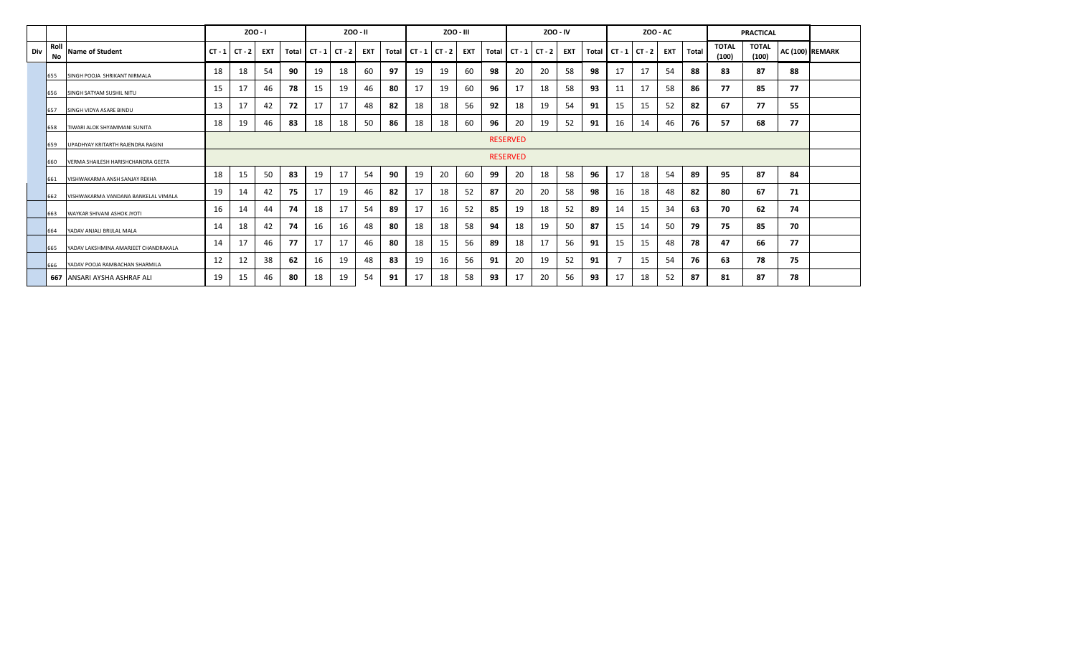|     |            |                                      |                 | ZOO - I  |            |       |    | ZOO - II          |            |    |                 | ZOO - III |     |       |                 | ZOO - IV |     |    |                         | <b>ZOO - AC</b> |     |       |                       | <b>PRACTICAL</b>      |    |                 |
|-----|------------|--------------------------------------|-----------------|----------|------------|-------|----|-------------------|------------|----|-----------------|-----------|-----|-------|-----------------|----------|-----|----|-------------------------|-----------------|-----|-------|-----------------------|-----------------------|----|-----------------|
| Div | Roll<br>No | Name of Student                      | $CT - 1$        | $CT - 2$ | <b>EXT</b> | Total |    | $CT - 1$ $CT - 2$ | <b>EXT</b> |    | Total CT-1 CT-2 |           | EXT | Total | CT - 1   CT - 2 |          | EXT |    | Total $CT - 1$ $CT - 2$ |                 | EXT | Total | <b>TOTAL</b><br>(100) | <b>TOTAL</b><br>(100) |    | AC (100) REMARK |
|     | 655        | SINGH POOJA SHRIKANT NIRMALA         | 18              | 18       | 54         | 90    | 19 | 18                | 60         | 97 | 19              | 19        | 60  | 98    | 20              | 20       | 58  | 98 | 17                      | 17              | 54  | 88    | 83                    | 87                    | 88 |                 |
|     | 656        | SINGH SATYAM SUSHIL NITU             | 15              | 17       | 46         | 78    | 15 | 19                | 46         | 80 | 17              | 19        | 60  | 96    | 17              | 18       | 58  | 93 | 11                      | 17              | 58  | 86    | 77                    | 85                    | 77 |                 |
|     | 657        | SINGH VIDYA ASARE BINDU              | 13              | 17       | 42         | 72    | 17 | 17                | 48         | 82 | 18              | 18        | 56  | 92    | 18              | 19       | 54  | 91 | 15                      | 15              | 52  | 82    | 67                    | 77                    | 55 |                 |
|     | 658        | TIWARI ALOK SHYAMMANI SUNITA         | 18              | 19       | 46         | 83    | 18 | 18                | 50         | 86 | 18              | 18        | 60  | 96    | 20              | 19       | 52  | 91 | 16                      | 14              | 46  | 76    | 57                    | 68                    | 77 |                 |
|     | 659        | UPADHYAY KRITARTH RAJENDRA RAGINI    | <b>RESERVED</b> |          |            |       |    |                   |            |    |                 |           |     |       |                 |          |     |    |                         |                 |     |       |                       |                       |    |                 |
|     | 660        | VERMA SHAILESH HARISHCHANDRA GEETA   | <b>RESERVED</b> |          |            |       |    |                   |            |    |                 |           |     |       |                 |          |     |    |                         |                 |     |       |                       |                       |    |                 |
|     | 661        | VISHWAKARMA ANSH SANJAY REKHA        | 18              | 15       | 50         | 83    | 19 | 17                | 54         | 90 | 19              | 20        | 60  | 99    | 20              | 18       | 58  | 96 | 17                      | 18              | 54  | 89    | 95                    | 87                    | 84 |                 |
|     | 662        | VISHWAKARMA VANDANA BANKELAL VIMALA  | 19              | 14       | 42         | 75    | 17 | 19                | 46         | 82 | 17              | 18        | -52 | 87    | 20              | 20       | 58  | 98 | 16                      | 18              | 48  | 82    | 80                    | 67                    | 71 |                 |
|     | 663        | WAYKAR SHIVANI ASHOK JYOTI           | 16              | 14       | 44         | 74    | 18 | 17                | 54         | 89 | 17              | 16        | 52  | 85    | 19              | 18       | -52 | 89 | 14                      | 15              | 34  | 63    | 70                    | 62                    | 74 |                 |
|     | 664        | YADAV ANJALI BRIJLAL MALA            | 14              | 18       | 42         | 74    | 16 | 16                | 48         | 80 | 18              | 18        | 58  | 94    | 18              | 19       | 50  | 87 | 15                      | 14              | 50  | 79    | 75                    | 85                    | 70 |                 |
|     | 665        | YADAV LAKSHMINA AMARJEET CHANDRAKALA | 14              | 17       | 46         | 77    | 17 | 17                | 46         | 80 | 18              | 15        | 56  | 89    | 18              | 17       | 56  | 91 | 15                      | 15              | 48  | 78    | 47                    | 66                    | 77 |                 |
|     | 666        | YADAV POOJA RAMBACHAN SHARMILA       | 12              | 12       | 38         | 62    | 16 | 19                | 48         | 83 | 19              | 16        | 56  | 91    | 20              | 19       | 52  | 91 |                         | 15              | -54 | 76    | 63                    | 78                    | 75 |                 |
|     |            | 667 ANSARI AYSHA ASHRAF ALI          | 19              | 15       | 46         | 80    | 18 | 19                | 54         | 91 | 17              | 18        | 58  | 93    | 17              | 20       | 56  | 93 | 17                      | 18              | 52  | 87    | 81                    | 87                    | 78 |                 |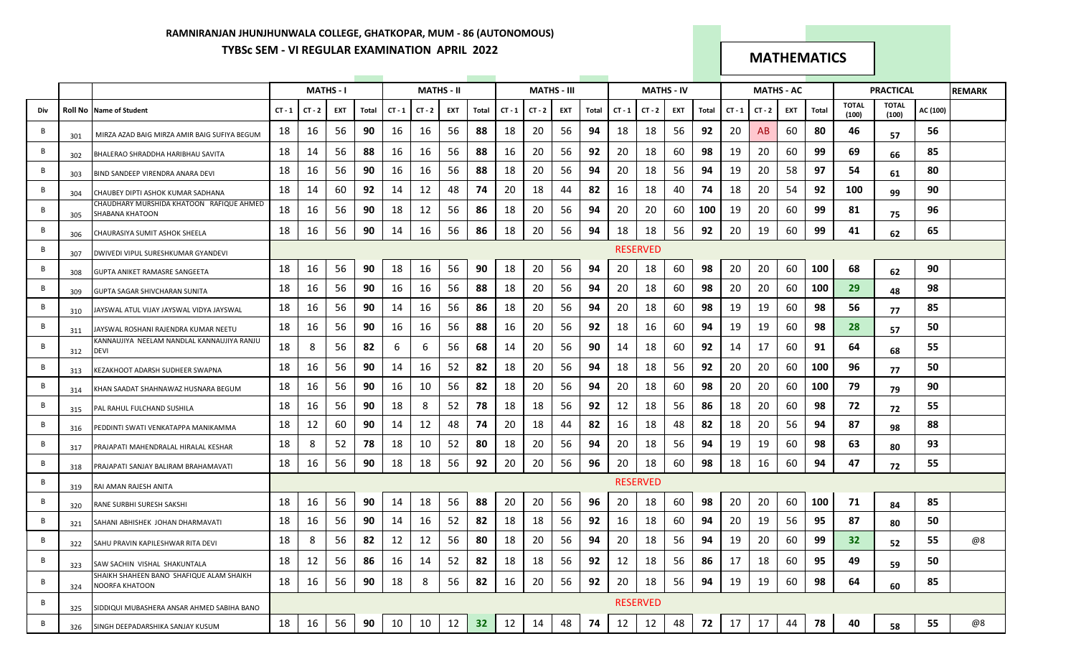# **RAMNIRANJAN JHUNJHUNWALA COLLEGE, GHATKOPAR, MUM - 86 (AUTONOMOUS) TYBSc SEM - VI REGULAR EXAMINATION APRIL 2022 MATHEMATICS**

|     |     |                                                             |          |        | <b>MATHS - I</b> |       |          | <b>MATHS - II</b> |     |       |          |          | <b>MATHS - III</b> |       |          |                 | <b>MATHS - IV</b> |       |          | <b>MATHS - AC</b> |     |       |                       | <b>PRACTICAL</b> |          | <b>REMARK</b> |
|-----|-----|-------------------------------------------------------------|----------|--------|------------------|-------|----------|-------------------|-----|-------|----------|----------|--------------------|-------|----------|-----------------|-------------------|-------|----------|-------------------|-----|-------|-----------------------|------------------|----------|---------------|
| Div |     | <b>Roll No Name of Student</b>                              | $CT - 1$ | CT - 2 | EXT              | Total | $CT - 1$ | $CT - 2$          | EXT | Total | $CT - 1$ | $CT - 2$ | EXT                | Total | $CT - 1$ | $CT - 2$        | EXT               | Total | $CT - 1$ | CT - 2            | EXT | Total | <b>TOTAL</b><br>(100) | TOTAL<br>(100)   | AC (100) |               |
| B   | 301 | MIRZA AZAD BAIG MIRZA AMIR BAIG SUFIYA BEGUM                | 18       | 16     | 56               | 90    | 16       | 16                | 56  | 88    | 18       | 20       | 56                 | 94    | 18       | 18              | 56                | 92    | 20       | AB.               | 60  | 80    | 46                    | 57               | 56       |               |
| B   | 302 | BHALERAO SHRADDHA HARIBHAU SAVITA                           | 18       | 14     | 56               | 88    | 16       | 16                | 56  | 88    | 16       | 20       | 56                 | 92    | 20       | 18              | 60                | 98    | 19       | 20                | 60  | 99    | 69                    | 66               | 85       |               |
| B   | 303 | BIND SANDEEP VIRENDRA ANARA DEVI                            | 18       | 16     | 56               | 90    | 16       | 16                | 56  | 88    | 18       | 20       | 56                 | 94    | 20       | 18              | 56                | 94    | 19       | 20                | 58  | 97    | 54                    | 61               | 80       |               |
| B   | 304 | CHAUBEY DIPTI ASHOK KUMAR SADHANA                           | 18       | 14     | 60               | 92    | 14       | 12                | 48  | 74    | 20       | 18       | 44                 | 82    | 16       | 18              | 40                | 74    | 18       | 20                | 54  | 92    | 100                   | 99               | 90       |               |
| B   | 305 | CHAUDHARY MURSHIDA KHATOON RAFIQUE AHMED<br>SHABANA KHATOON | 18       | 16     | 56               | 90    | 18       | 12                | 56  | 86    | 18       | 20       | 56                 | 94    | 20       | 20              | 60                | 100   | 19       | 20                | 60  | 99    | 81                    | 75               | 96       |               |
| B   | 306 | CHAURASIYA SUMIT ASHOK SHEELA                               | 18       | 16     | 56               | 90    | 14       | 16                | 56  | 86    | 18       | 20       | 56                 | 94    | 18       | 18              | 56                | 92    | 20       | 19                | 60  | 99    | 41                    | 62               | 65       |               |
| B   | 307 | DWIVEDI VIPUL SURESHKUMAR GYANDEVI                          |          |        |                  |       |          |                   |     |       |          |          |                    |       |          | <b>RESERVED</b> |                   |       |          |                   |     |       |                       |                  |          |               |
| B   | 308 | GUPTA ANIKET RAMASRE SANGEETA                               | 18       | 16     | 56               | 90    | 18       | 16                | 56  | 90    | 18       | 20       | 56                 | 94    | 20       | 18              | 60                | 98    | 20       | 20                | 60  | 100   | 68                    | 62               | 90       |               |
| B   | 309 | GUPTA SAGAR SHIVCHARAN SUNITA                               | 18       | 16     | 56               | 90    | 16       | 16                | 56  | 88    | 18       | 20       | 56                 | 94    | 20       | 18              | 60                | 98    | 20       | 20                | 60  | 100   | 29                    | 48               | 98       |               |
| B   | 310 | JAYSWAL ATUL VIJAY JAYSWAL VIDYA JAYSWAL                    | 18       | 16     | 56               | 90    | 14       | 16                | 56  | 86    | 18       | 20       | 56                 | 94    | 20       | 18              | 60                | 98    | 19       | 19                | 60  | 98    | 56                    | 77               | 85       |               |
| B   | 311 | JAYSWAL ROSHANI RAJENDRA KUMAR NEETU                        | 18       | 16     | 56               | 90    | 16       | 16                | 56  | 88    | 16       | 20       | 56                 | 92    | 18       | 16              | 60                | 94    | 19       | 19                | 60  | 98    | 28                    | 57               | 50       |               |
| B   | 312 | KANNAUJIYA NEELAM NANDLAL KANNAUJIYA RANJU<br><b>DEVI</b>   | 18       | 8      | 56               | 82    | 6        | 6                 | 56  | 68    | 14       | 20       | 56                 | 90    | 14       | 18              | 60                | 92    | 14       | 17                | 60  | 91    | 64                    | 68               | 55       |               |
| B   | 313 | KEZAKHOOT ADARSH SUDHEER SWAPNA                             | 18       | 16     | 56               | 90    | 14       | 16                | 52  | 82    | 18       | 20       | 56                 | 94    | 18       | 18              | 56                | 92    | 20       | 20                | 60  | 100   | 96                    | 77               | 50       |               |
| B   | 314 | KHAN SAADAT SHAHNAWAZ HUSNARA BEGUM                         | 18       | 16     | 56               | 90    | 16       | 10                | 56  | 82    | 18       | 20       | 56                 | 94    | 20       | 18              | 60                | 98    | 20       | 20                | 60  | 100   | 79                    | 79               | 90       |               |
| B   | 315 | PAL RAHUL FULCHAND SUSHILA                                  | 18       | 16     | 56               | 90    | 18       | 8                 | 52  | 78    | 18       | 18       | -56                | 92    | 12       | 18              | 56                | 86    | 18       | 20                | 60  | 98    | 72                    | 72               | 55       |               |
| B   | 316 | PEDDINTI SWATI VENKATAPPA MANIKAMMA                         | 18       | 12     | 60               | 90    | 14       | 12                | 48  | 74    | 20       | 18       | 44                 | 82    | 16       | 18              | 48                | 82    | 18       | 20                | -56 | 94    | 87                    | 98               | 88       |               |
| B   | 317 | PRAJAPATI MAHENDRALAL HIRALAL KESHAR                        | 18       | 8      | 52               | 78    | 18       | 10                | 52  | 80    | 18       | 20       | 56                 | 94    | 20       | 18              | 56                | 94    | 19       | 19                | 60  | 98    | 63                    | 80               | 93       |               |
| B   | 318 | PRAJAPATI SANJAY BALIRAM BRAHAMAVATI                        | 18       | 16     | 56               | 90    | 18       | 18                | 56  | 92    | 20       | 20       | 56                 | 96    | 20       | 18              | 60                | 98    | 18       | 16                | -60 | 94    | 47                    | 72               | 55       |               |
| B   | 319 | RAI AMAN RAJESH ANITA                                       |          |        |                  |       |          |                   |     |       |          |          |                    |       |          | <b>RESERVED</b> |                   |       |          |                   |     |       |                       |                  |          |               |
| B   | 320 | RANE SURBHI SURESH SAKSHI                                   | 18       | 16     | 56               | 90    | 14       | 18                | 56  | 88    | 20       | 20       | 56                 | 96    | 20       | 18              | 60                | 98    | 20       | 20                | 60  | 100   | 71                    | 84               | 85       |               |
| B   | 321 | SAHANI ABHISHEK JOHAN DHARMAVATI                            | 18       | 16     | 56               | 90    | 14       | 16                | 52  | 82    | 18       | 18       | -56                | 92    | 16       | 18              | 60                | 94    | -20      | 19                | 56  | 95    | 87                    | 80               | 50       |               |
| B   | 322 | SAHU PRAVIN KAPILESHWAR RITA DEVI                           | 18       | 8      | 56               | 82    | 12       | 12                | 56  | 80    | 18       | 20       | 56                 | 94    | 20       | 18              | 56                | 94    | 19       | 20                | 60  | 99    | 32                    | 52               | 55       | @8            |
| B   | 323 | SAW SACHIN VISHAL SHAKUNTALA                                | 18       | 12     | 56               | 86    | 16       | 14                | 52  | 82    | 18       | 18       | 56                 | 92    | 12       | 18              | 56                | 86    | 17       | 18                | 60  | 95    | 49                    | 59               | 50       |               |
| B   | 324 | SHAIKH SHAHEEN BANO SHAFIQUE ALAM SHAIKH<br>NOORFA KHATOON  | 18       | 16     | 56               | 90    | 18       | 8                 | 56  | 82    | 16       | 20       | 56                 | 92    | 20       | 18              | 56                | 94    | 19       | 19                | 60  | 98    | 64                    | 60               | 85       |               |
| B   | 325 | SIDDIQUI MUBASHERA ANSAR AHMED SABIHA BANO                  |          |        |                  |       |          |                   |     |       |          |          |                    |       |          | <b>RESERVED</b> |                   |       |          |                   |     |       |                       |                  |          |               |
| B   | 326 | SINGH DEEPADARSHIKA SANJAY KUSUM                            | 18       | 16     | 56               | 90    | 10       | 10                | 12  | 32    | 12       | 14       | 48                 | 74    | 12       | 12              | 48                | 72    | 17       | 17                | 44  | 78    | 40                    | 58               | 55       | @8            |
|     |     |                                                             |          |        |                  |       |          |                   |     |       |          |          |                    |       |          |                 |                   |       |          |                   |     |       |                       |                  |          |               |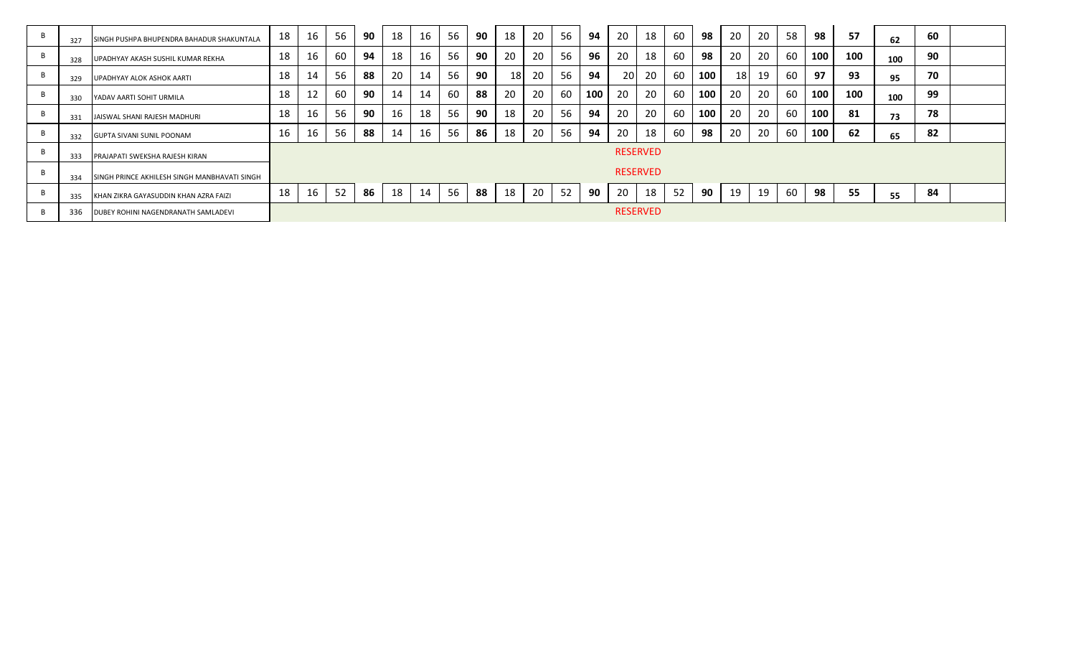| 327 | SINGH PUSHPA BHUPENDRA BAHADUR SHAKUNTALA    | 18 | 16 | 56 | 90 | 18 | 16 | 56 | 90  | 18   | 20 | 56 | 94  | 20 | 18              | 60 | 98         | 20 | 20 | 58 | 98  | 57  | 62  | 60 |  |
|-----|----------------------------------------------|----|----|----|----|----|----|----|-----|------|----|----|-----|----|-----------------|----|------------|----|----|----|-----|-----|-----|----|--|
| 328 | UPADHYAY AKASH SUSHIL KUMAR REKHA            | 18 | 16 | 60 | 94 | 18 | 16 | 56 | 90  | 20   | 20 | 56 | 96  | 20 | 18              | 60 | 98         | 20 | 20 | 60 | 100 | 100 | 100 | 90 |  |
| 329 | UPADHYAY ALOK ASHOK AARTI                    | 18 | 14 | 56 | 88 | 20 | 14 | 56 | 90  | 18 I | 20 | 56 | 94  | 20 | 20              | 60 | 100        | 18 | 19 | 60 | 97  | 93  | 95  | 70 |  |
| 330 | YADAV AARTI SOHIT URMILA                     | 18 | 12 | 60 | 90 | 14 | 14 | 60 | 88  | 20   | 20 | 60 | 100 | 20 | 20              | 60 | 100        | 20 | 20 | 60 | 100 | 100 | 100 | 99 |  |
| 331 | <b>JAISWAL SHANI RAJESH MADHURI</b>          | 18 | 16 | 56 | 90 | 16 | 18 | 56 | -90 | 18   | 20 | 56 | 94  | 20 | 20              | 60 | <b>100</b> | 20 | 20 | 60 | 100 | 81  | 73  | 78 |  |
| 332 | <b>GUPTA SIVANI SUNIL POONAM</b>             | 16 | 16 | 56 | 88 | 14 | 16 | 56 | 86  | 18   | 20 | 56 | 94  | 20 | 18              | 60 | 98         | 20 | 20 | 60 | 100 | 62  | 65  | 82 |  |
| 333 | <b>PRAJAPATI SWEKSHA RAJESH KIRAN</b>        |    |    |    |    |    |    |    |     |      |    |    |     |    | <b>RESERVED</b> |    |            |    |    |    |     |     |     |    |  |
| 334 | SINGH PRINCE AKHILESH SINGH MANBHAVATI SINGH |    |    |    |    |    |    |    |     |      |    |    |     |    | <b>RESERVED</b> |    |            |    |    |    |     |     |     |    |  |
| 335 | KHAN ZIKRA GAYASUDDIN KHAN AZRA FAIZI        | 18 | 16 | 52 | 86 | 18 | 14 | 56 | 88  | 18   | 20 | 52 | 90  | 20 | 18              | 52 | 90         | 19 | 19 | 60 | 98  | 55  | 55  | 84 |  |
| 336 | <b>DUBEY ROHINI NAGENDRANATH SAMLADEVI</b>   |    |    |    |    |    |    |    |     |      |    |    |     |    | <b>RESERVED</b> |    |            |    |    |    |     |     |     |    |  |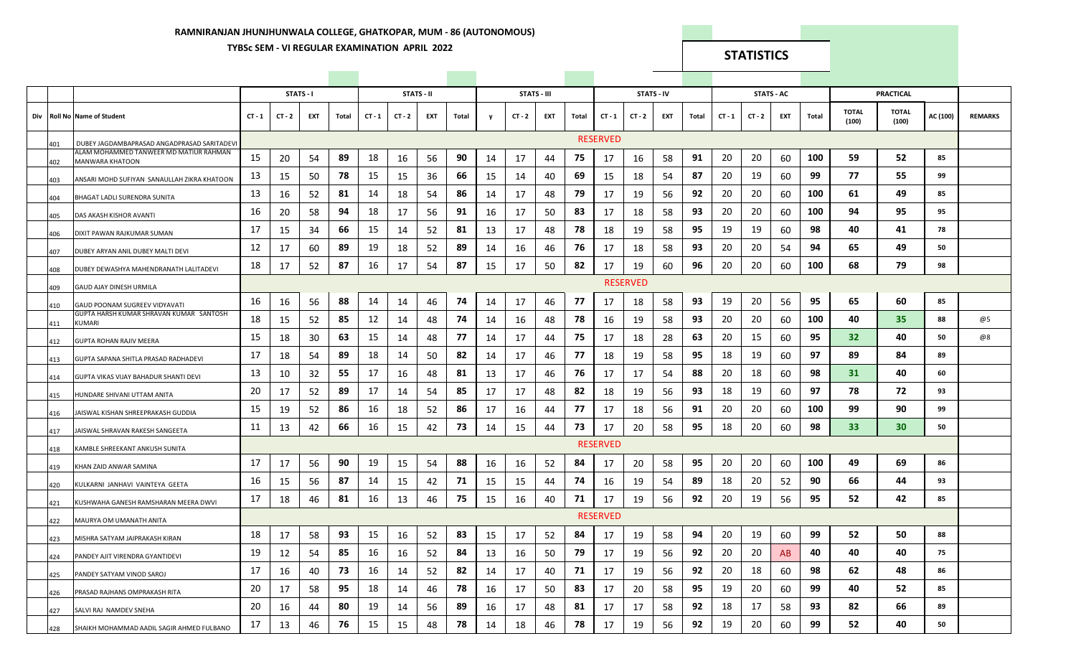### **RAMNIRANJAN JHUNJHUNWALA COLLEGE, GHATKOPAR, MUM - 86 (AUTONOMOUS)**

# **TYBSc SEM - VI REGULAR EXAMINATION APRIL 2022 STATISTICS**

|     |     |                                                                  |          |          | STATS-I |       |          |          | STATS - II |       |    | STATS - III |     |       |                 | STATS - IV      |     |       |          |          | STATS - AC |       |                       | <b>PRACTICAL</b>      |          |                |
|-----|-----|------------------------------------------------------------------|----------|----------|---------|-------|----------|----------|------------|-------|----|-------------|-----|-------|-----------------|-----------------|-----|-------|----------|----------|------------|-------|-----------------------|-----------------------|----------|----------------|
| Div |     | <b>Roll No Name of Student</b>                                   | $CT - 1$ | $CT - 2$ | EXT     | Total | $CT - 1$ | $CT - 2$ | EXT        | Total | y  | $CT - 2$    | EXT | Total | $CT - 1$        | $CT - 2$        | EXT | Total | $CT - 1$ | $CT - 2$ | EXT        | Total | <b>TOTAL</b><br>(100) | <b>TOTAL</b><br>(100) | AC (100) | <b>REMARKS</b> |
|     | 401 | DUBEY JAGDAMBAPRASAD ANGADPRASAD SARITADEVI                      |          |          |         |       |          |          |            |       |    |             |     |       | <b>RESERVED</b> |                 |     |       |          |          |            |       |                       |                       |          |                |
|     | 402 | ALAM MOHAMMED TANWEER MD MATIUR RAHMAN<br><b>MANWARA KHATOON</b> | 15       | 20       | 54      | 89    | 18       | 16       | 56         | 90    | 14 | 17          | 44  | 75    | 17              | 16              | 58  | 91    | 20       | 20       | 60         | 100   | 59                    | 52                    | 85       |                |
|     | 403 | ANSARI MOHD SUFIYAN SANAULLAH ZIKRA KHATOON                      | 13       | 15       | 50      | 78    | 15       | 15       | 36         | 66    | 15 | 14          | 40  | 69    | 15              | 18              | 54  | 87    | 20       | 19       | 60         | 99    | 77                    | 55                    | 99       |                |
|     | 404 | BHAGAT LADLI SURENDRA SUNITA                                     | 13       | 16       | 52      | 81    | 14       | 18       | 54         | 86    | 14 | 17          | 48  | 79    | 17              | 19              | 56  | 92    | 20       | 20       | 60         | 100   | 61                    | 49                    | 85       |                |
|     | 405 | DAS AKASH KISHOR AVANTI                                          | 16       | 20       | 58      | 94    | 18       | 17       | 56         | 91    | 16 | 17          | 50  | 83    | 17              | 18              | 58  | 93    | 20       | 20       | 60         | 100   | 94                    | 95                    | 95       |                |
|     | 406 | DIXIT PAWAN RAJKUMAR SUMAN                                       | 17       | 15       | 34      | 66    | 15       | 14       | 52         | 81    | 13 | 17          | 48  | 78    | 18              | 19              | 58  | 95    | 19       | 19       | 60         | 98    | 40                    | 41                    | 78       |                |
|     | 407 | DUBEY ARYAN ANIL DUBEY MALTI DEVI                                | 12       | 17       | 60      | 89    | 19       | 18       | 52         | 89    | 14 | 16          | 46  | 76    | 17              | 18              | 58  | 93    | 20       | 20       | 54         | 94    | 65                    | 49                    | 50       |                |
|     | 408 | DUBEY DEWASHYA MAHENDRANATH LALITADEVI                           | 18       | 17       | 52      | 87    | 16       | 17       | 54         | 87    | 15 | 17          | 50  | 82    | 17              | 19              | 60  | 96    | 20       | 20       | 60         | 100   | 68                    | 79                    | 98       |                |
|     | 409 | GAUD AJAY DINESH URMILA                                          |          |          |         |       |          |          |            |       |    |             |     |       |                 | <b>RESERVED</b> |     |       |          |          |            |       |                       |                       |          |                |
|     | 410 | GAUD POONAM SUGREEV VIDYAVATI                                    | 16       | 16       | 56      | 88    | 14       | 14       | 46         | 74    | 14 | 17          | 46  | 77    | 17              | 18              | 58  | 93    | 19       | 20       | 56         | 95    | 65                    | 60                    | 85       |                |
|     | 411 | GUPTA HARSH KUMAR SHRAVAN KUMAR SANTOSH<br><b>KUMARI</b>         | 18       | 15       | 52      | 85    | 12       | 14       | 48         | 74    | 14 | 16          | 48  | 78    | 16              | 19              | 58  | 93    | 20       | 20       | 60         | 100   | 40                    | 35                    | 88       | @5             |
|     | 412 | GUPTA ROHAN RAJIV MEERA                                          | 15       | 18       | 30      | 63    | 15       | 14       | 48         | 77    | 14 | 17          | 44  | 75    | 17              | 18              | 28  | 63    | 20       | 15       | 60         | 95    | 32 <sub>2</sub>       | 40                    | 50       | @8             |
|     | 413 | GUPTA SAPANA SHITLA PRASAD RADHADEVI                             | 17       | 18       | 54      | 89    | 18       | 14       | 50         | 82    | 14 | 17          | 46  | 77    | 18              | 19              | 58  | 95    | 18       | 19       | 60         | 97    | 89                    | 84                    | 89       |                |
|     | 414 | GUPTA VIKAS VIJAY BAHADUR SHANTI DEVI                            | 13       | 10       | 32      | 55    | 17       | 16       | 48         | 81    | 13 | 17          | 46  | 76    | 17              | 17              | 54  | 88    | 20       | 18       | 60         | 98    | 31                    | 40                    | 60       |                |
|     | 415 | HUNDARE SHIVANI UTTAM ANITA                                      | 20       | 17       | 52      | 89    | 17       | 14       | 54         | 85    | 17 | 17          | 48  | 82    | 18              | 19              | 56  | 93    | 18       | 19       | 60         | 97    | 78                    | 72                    | 93       |                |
|     | 416 | JAISWAL KISHAN SHREEPRAKASH GUDDIA                               | 15       | 19       | 52      | 86    | 16       | 18       | 52         | 86    | 17 | 16          | 44  | 77    | 17              | 18              | 56  | 91    | 20       | 20       | 60         | 100   | 99                    | 90                    | 99       |                |
|     | 417 | JAISWAL SHRAVAN RAKESH SANGEETA                                  | 11       | 13       | 42      | 66    | 16       | 15       | 42         | 73    | 14 | 15          | 44  | 73    | 17              | 20              | 58  | 95    | 18       | 20       | 60         | 98    | 33 <sup>2</sup>       | 30                    | 50       |                |
|     | 418 | KAMBLE SHREEKANT ANKUSH SUNITA                                   |          |          |         |       |          |          |            |       |    |             |     |       | <b>RESERVED</b> |                 |     |       |          |          |            |       |                       |                       |          |                |
|     | 419 | KHAN ZAID ANWAR SAMINA                                           | 17       | 17       | 56      | 90    | 19       | 15       | 54         | 88    | 16 | 16          | 52  | 84    | 17              | 20              | 58  | 95    | 20       | 20       | 60         | 100   | 49                    | 69                    | 86       |                |
|     | 420 | KULKARNI JANHAVI VAINTEYA GEETA                                  | 16       | 15       | 56      | 87    | 14       | 15       | 42         | 71    | 15 | 15          | 44  | 74    | 16              | 19              | 54  | 89    | 18       | 20       | 52         | 90    | 66                    | 44                    | 93       |                |
|     | 421 | KUSHWAHA GANESH RAMSHARAN MEERA DWVI                             | 17       | 18       | 46      | 81    | 16       | 13       | 46         | 75    | 15 | 16          | 40  | 71    | 17              | 19              | 56  | 92    | 20       | 19       | 56         | 95    | 52                    | 42                    | 85       |                |
|     | 422 | MAURYA OM UMANATH ANITA                                          |          |          |         |       |          |          |            |       |    |             |     |       | <b>RESERVED</b> |                 |     |       |          |          |            |       |                       |                       |          |                |
|     | 423 | MISHRA SATYAM JAIPRAKASH KIRAN                                   | 18       | 17       | 58      | 93    | 15       | 16       | 52         | 83    | 15 | 17          | 52  | 84    | 17              | 19              | 58  | 94    | 20       | 19       | 60         | 99    | 52                    | 50                    | 88       |                |
|     | 424 | PANDEY AJIT VIRENDRA GYANTIDEVI                                  | 19       | 12       | 54      | 85    | 16       | 16       | 52         | 84    | 13 | 16          | 50  | 79    | 17              | 19              | 56  | 92    | 20       | 20       | AB         | 40    | 40                    | 40                    | 75       |                |
|     | 425 | PANDEY SATYAM VINOD SAROJ                                        | 17       | 16       | 40      | 73    | 16       | 14       | 52         | 82    | 14 | 17          | 40  | 71    | 17              | 19              | 56  | 92    | 20       | 18       | 60         | 98    | 62                    | 48                    | 86       |                |
|     | 426 | PRASAD RAJHANS OMPRAKASH RITA                                    | 20       | 17       | 58      | 95    | 18       | 14       | 46         | 78    | 16 | 17          | 50  | 83    | 17              | 20              | 58  | 95    | 19       | 20       | 60         | 99    | 40                    | 52                    | 85       |                |
|     | 427 | SALVI RAJ NAMDEV SNEHA                                           | 20       | 16       | 44      | 80    | 19       | 14       | 56         | 89    | 16 | 17          | 48  | 81    | 17              | 17              | 58  | 92    | 18       | 17       | 58         | 93    | 82                    | 66                    | 89       |                |
|     | 428 | SHAIKH MOHAMMAD AADIL SAGIR AHMED FULBANO                        | 17       | 13       | 46      | 76    | 15       | 15       | 48         | 78    | 14 | 18          | 46  | 78    | 17              | 19              | 56  | 92    | 19       | 20       | 60         | 99    | 52                    | 40                    | 50       |                |